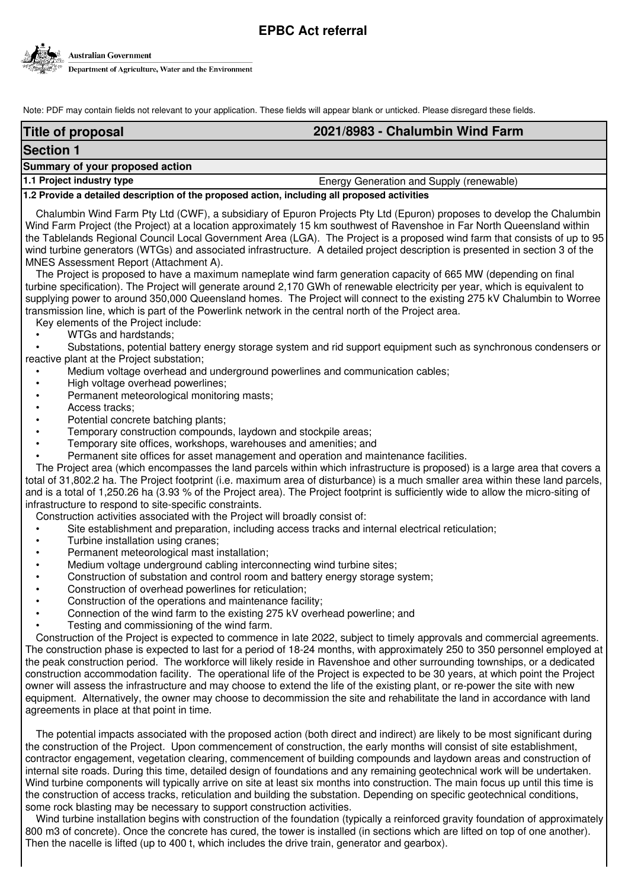# **EPBC Act referral**



Note: PDF may contain fields not relevant to your application. These fields will appear blank or unticked. Please disregard these fields.

# **Title of proposal 2021/8983 - Chalumbin Wind Farm Summary of your proposed action Section 1**

# **1.1 Project industry type Energy Generation and Supply (renewable)** Energy Generation and Supply (renewable)

# **1.2 Provide a detailed description of the proposed action, including all proposed activities**

Chalumbin Wind Farm Pty Ltd (CWF), a subsidiary of Epuron Projects Pty Ltd (Epuron) proposes to develop the Chalumbin Wind Farm Project (the Project) at a location approximately 15 km southwest of Ravenshoe in Far North Queensland within the Tablelands Regional Council Local Government Area (LGA). The Project is a proposed wind farm that consists of up to 95 wind turbine generators (WTGs) and associated infrastructure. A detailed project description is presented in section 3 of the MNES Assessment Report (Attachment A).

The Project is proposed to have a maximum nameplate wind farm generation capacity of 665 MW (depending on final turbine specification). The Project will generate around 2,170 GWh of renewable electricity per year, which is equivalent to supplying power to around 350,000 Queensland homes. The Project will connect to the existing 275 kV Chalumbin to Worree transmission line, which is part of the Powerlink network in the central north of the Project area.

Key elements of the Project include:

# • WTGs and hardstands;

• Substations, potential battery energy storage system and rid support equipment such as synchronous condensers or reactive plant at the Project substation;

- Medium voltage overhead and underground powerlines and communication cables;
- High voltage overhead powerlines;
- Permanent meteorological monitoring masts;
- Access tracks:
- Potential concrete batching plants;
- Temporary construction compounds, laydown and stockpile areas;
- Temporary site offices, workshops, warehouses and amenities; and
- Permanent site offices for asset management and operation and maintenance facilities.

The Project area (which encompasses the land parcels within which infrastructure is proposed) is a large area that covers a total of 31,802.2 ha. The Project footprint (i.e. maximum area of disturbance) is a much smaller area within these land parcels, and is a total of 1,250.26 ha (3.93 % of the Project area). The Project footprint is sufficiently wide to allow the micro-siting of infrastructure to respond to site-specific constraints.

Construction activities associated with the Project will broadly consist of:

- Site establishment and preparation, including access tracks and internal electrical reticulation;
- Turbine installation using cranes;
- Permanent meteorological mast installation;
- Medium voltage underground cabling interconnecting wind turbine sites;
- Construction of substation and control room and battery energy storage system;
- Construction of overhead powerlines for reticulation;
- Construction of the operations and maintenance facility;
- Connection of the wind farm to the existing 275 kV overhead powerline; and
- Testing and commissioning of the wind farm.

Construction of the Project is expected to commence in late 2022, subject to timely approvals and commercial agreements. The construction phase is expected to last for a period of 18-24 months, with approximately 250 to 350 personnel employed at the peak construction period. The workforce will likely reside in Ravenshoe and other surrounding townships, or a dedicated construction accommodation facility. The operational life of the Project is expected to be 30 years, at which point the Project owner will assess the infrastructure and may choose to extend the life of the existing plant, or re-power the site with new equipment. Alternatively, the owner may choose to decommission the site and rehabilitate the land in accordance with land agreements in place at that point in time.

The potential impacts associated with the proposed action (both direct and indirect) are likely to be most significant during the construction of the Project. Upon commencement of construction, the early months will consist of site establishment, contractor engagement, vegetation clearing, commencement of building compounds and laydown areas and construction of internal site roads. During this time, detailed design of foundations and any remaining geotechnical work will be undertaken. Wind turbine components will typically arrive on site at least six months into construction. The main focus up until this time is the construction of access tracks, reticulation and building the substation. Depending on specific geotechnical conditions, some rock blasting may be necessary to support construction activities.

Wind turbine installation begins with construction of the foundation (typically a reinforced gravity foundation of approximately 800 m3 of concrete). Once the concrete has cured, the tower is installed (in sections which are lifted on top of one another). Then the nacelle is lifted (up to 400 t, which includes the drive train, generator and gearbox).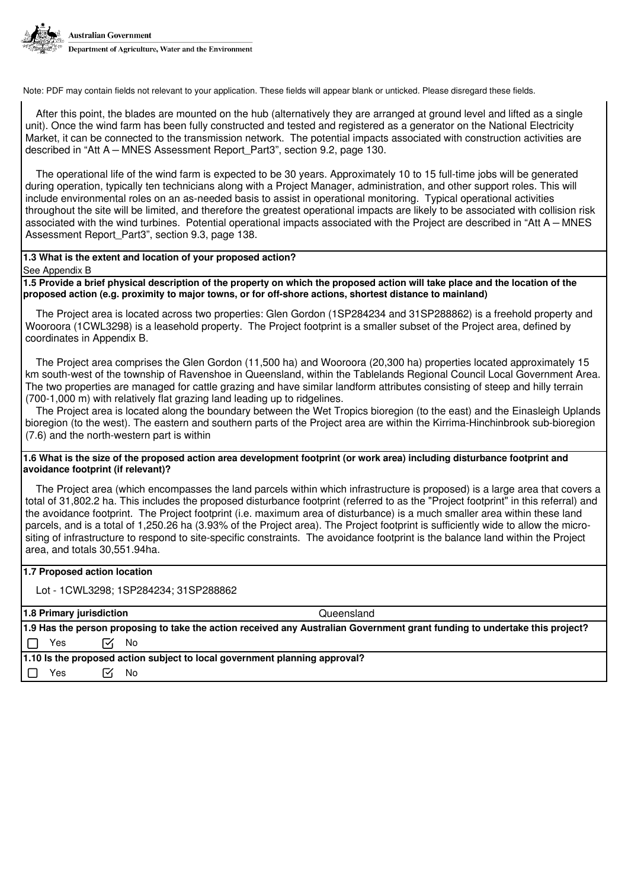

After this point, the blades are mounted on the hub (alternatively they are arranged at ground level and lifted as a single unit). Once the wind farm has been fully constructed and tested and registered as a generator on the National Electricity Market, it can be connected to the transmission network. The potential impacts associated with construction activities are described in "Att A – MNES Assessment Report\_Part3", section 9.2, page 130.

The operational life of the wind farm is expected to be 30 years. Approximately 10 to 15 full-time jobs will be generated during operation, typically ten technicians along with a Project Manager, administration, and other support roles. This will include environmental roles on an as-needed basis to assist in operational monitoring. Typical operational activities throughout the site will be limited, and therefore the greatest operational impacts are likely to be associated with collision risk associated with the wind turbines. Potential operational impacts associated with the Project are described in "Att A – MNES Assessment Report Part3", section 9.3, page 138.

#### **1.3 What is the extent and location of your proposed action?**

See Appendix B

**1.5 Provide a brief physical description of the property on which the proposed action will take place and the location of the proposed action (e.g. proximity to major towns, or for off-shore actions, shortest distance to mainland)**

The Project area is located across two properties: Glen Gordon (1SP284234 and 31SP288862) is a freehold property and Wooroora (1CWL3298) is a leasehold property. The Project footprint is a smaller subset of the Project area, defined by coordinates in Appendix B.

The Project area comprises the Glen Gordon (11,500 ha) and Wooroora (20,300 ha) properties located approximately 15 km south-west of the township of Ravenshoe in Queensland, within the Tablelands Regional Council Local Government Area. The two properties are managed for cattle grazing and have similar landform attributes consisting of steep and hilly terrain (700-1,000 m) with relatively flat grazing land leading up to ridgelines.

The Project area is located along the boundary between the Wet Tropics bioregion (to the east) and the Einasleigh Uplands bioregion (to the west). The eastern and southern parts of the Project area are within the Kirrima-Hinchinbrook sub-bioregion (7.6) and the north-western part is within

#### **1.6 What is the size of the proposed action area development footprint (or work area) including disturbance footprint and avoidance footprint (if relevant)?**

The Project area (which encompasses the land parcels within which infrastructure is proposed) is a large area that covers a total of 31,802.2 ha. This includes the proposed disturbance footprint (referred to as the "Project footprint" in this referral) and the avoidance footprint. The Project footprint (i.e. maximum area of disturbance) is a much smaller area within these land parcels, and is a total of 1,250.26 ha (3.93% of the Project area). The Project footprint is sufficiently wide to allow the micrositing of infrastructure to respond to site-specific constraints. The avoidance footprint is the balance land within the Project area, and totals 30,551.94ha.

# **1.7 Proposed action location**

Lot - 1CWL3298; 1SP284234; 31SP288862

| 1.8 Primary jurisdiction                                                   |                                                                                                                             |    |                   | Queensland |
|----------------------------------------------------------------------------|-----------------------------------------------------------------------------------------------------------------------------|----|-------------------|------------|
|                                                                            | 1.9 Has the person proposing to take the action received any Australian Government grant funding to undertake this project? |    |                   |            |
|                                                                            | Yes                                                                                                                         |    | Γ <sup>γ</sup> Νο |            |
| 1.10 Is the proposed action subject to local government planning approval? |                                                                                                                             |    |                   |            |
|                                                                            | Yes                                                                                                                         | lЧ | No                |            |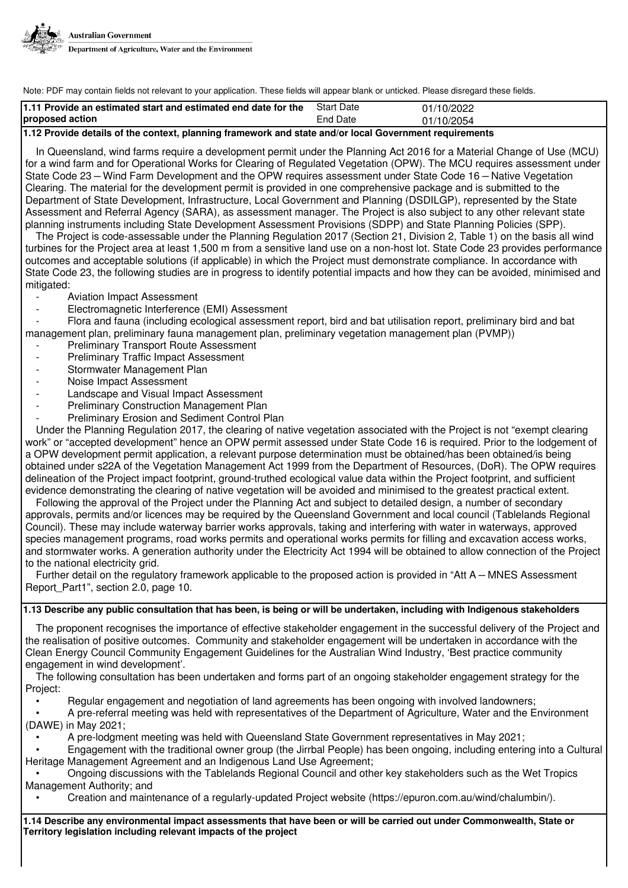

| 11.11 Provide an estimated start and estimated end date for the                                         | <b>Start Date</b> | 01/10/2022 |
|---------------------------------------------------------------------------------------------------------|-------------------|------------|
| proposed action                                                                                         | End Date          | 01/10/2054 |
| l 10 Duairda detaila et the contant planning furmaurally and otota and/au local Consumment varuivamenta |                   |            |

#### **1.12 Provide details of the context, planning framework and state and/or local Government requirements**

In Queensland, wind farms require a development permit under the Planning Act 2016 for a Material Change of Use (MCU) for a wind farm and for Operational Works for Clearing of Regulated Vegetation (OPW). The MCU requires assessment under State Code 23 – Wind Farm Development and the OPW requires assessment under State Code 16 – Native Vegetation Clearing. The material for the development permit is provided in one comprehensive package and is submitted to the Department of State Development, Infrastructure, Local Government and Planning (DSDILGP), represented by the State Assessment and Referral Agency (SARA), as assessment manager. The Project is also subject to any other relevant state planning instruments including State Development Assessment Provisions (SDPP) and State Planning Policies (SPP).

The Project is code-assessable under the Planning Regulation 2017 (Section 21, Division 2, Table 1) on the basis all wind turbines for the Project area at least 1,500 m from a sensitive land use on a non-host lot. State Code 23 provides performance outcomes and acceptable solutions (if applicable) in which the Project must demonstrate compliance. In accordance with State Code 23, the following studies are in progress to identify potential impacts and how they can be avoided, minimised and mitigated:

- Aviation Impact Assessment
- Electromagnetic Interference (EMI) Assessment

- Flora and fauna (including ecological assessment report, bird and bat utilisation report, preliminary bird and bat management plan, preliminary fauna management plan, preliminary vegetation management plan (PVMP))

- Preliminary Transport Route Assessment
- Preliminary Traffic Impact Assessment
- Stormwater Management Plan
- Noise Impact Assessment
- Landscape and Visual Impact Assessment
- Preliminary Construction Management Plan
- Preliminary Erosion and Sediment Control Plan

Under the Planning Regulation 2017, the clearing of native vegetation associated with the Project is not "exempt clearing work" or "accepted development" hence an OPW permit assessed under State Code 16 is required. Prior to the lodgement of a OPW development permit application, a relevant purpose determination must be obtained/has been obtained/is being obtained under s22A of the Vegetation Management Act 1999 from the Department of Resources, (DoR). The OPW requires delineation of the Project impact footprint, ground-truthed ecological value data within the Project footprint, and sufficient evidence demonstrating the clearing of native vegetation will be avoided and minimised to the greatest practical extent.

Following the approval of the Project under the Planning Act and subject to detailed design, a number of secondary approvals, permits and/or licences may be required by the Queensland Government and local council (Tablelands Regional Council). These may include waterway barrier works approvals, taking and interfering with water in waterways, approved species management programs, road works permits and operational works permits for filling and excavation access works, and stormwater works. A generation authority under the Electricity Act 1994 will be obtained to allow connection of the Project to the national electricity grid.

Further detail on the regulatory framework applicable to the proposed action is provided in "Att A – MNES Assessment Report Part1", section 2.0, page 10.

# **1.13 Describe any public consultation that has been, is being or will be undertaken, including with Indigenous stakeholders**

The proponent recognises the importance of effective stakeholder engagement in the successful delivery of the Project and the realisation of positive outcomes. Community and stakeholder engagement will be undertaken in accordance with the Clean Energy Council Community Engagement Guidelines for the Australian Wind Industry, 'Best practice community engagement in wind development'.

The following consultation has been undertaken and forms part of an ongoing stakeholder engagement strategy for the Project:

• Regular engagement and negotiation of land agreements has been ongoing with involved landowners;

- A pre-referral meeting was held with representatives of the Department of Agriculture, Water and the Environment (DAWE) in May 2021;
	- A pre-lodgment meeting was held with Queensland State Government representatives in May 2021;
- Engagement with the traditional owner group (the Jirrbal People) has been ongoing, including entering into a Cultural Heritage Management Agreement and an Indigenous Land Use Agreement;

• Ongoing discussions with the Tablelands Regional Council and other key stakeholders such as the Wet Tropics Management Authority; and

• Creation and maintenance of a regularly-updated Project website (https://epuron.com.au/wind/chalumbin/).

**1.14 Describe any environmental impact assessments that have been or will be carried out under Commonwealth, State or Territory legislation including relevant impacts of the project**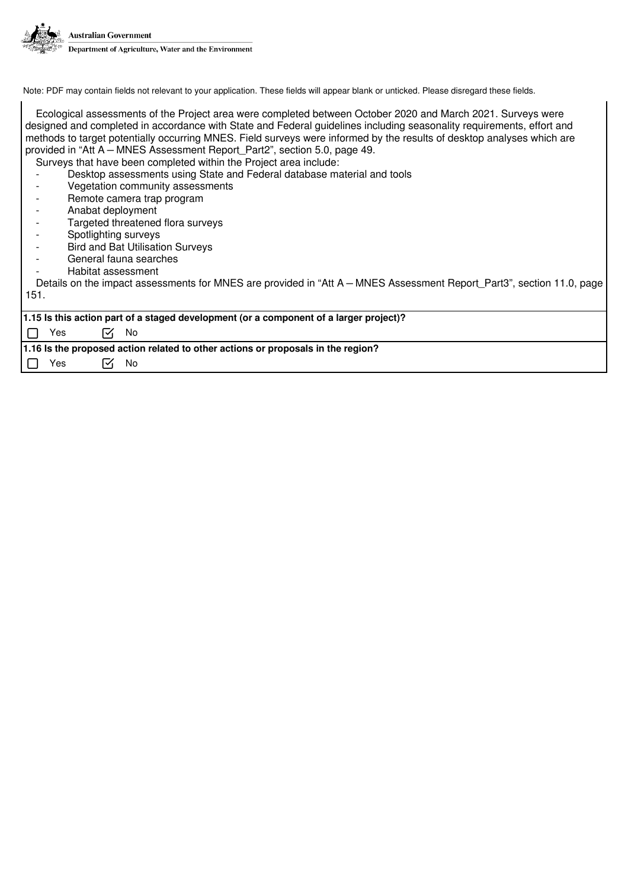

Ecological assessments of the Project area were completed between October 2020 and March 2021. Surveys were designed and completed in accordance with State and Federal guidelines including seasonality requirements, effort and methods to target potentially occurring MNES. Field surveys were informed by the results of desktop analyses which are provided in "Att A – MNES Assessment Report\_Part2", section 5.0, page 49. Surveys that have been completed within the Project area include:

Desktop assessments using State and Federal database material and tools

- Vegetation community assessments
- Remote camera trap program
- Anabat deployment
- Targeted threatened flora surveys
- Spotlighting surveys
- Bird and Bat Utilisation Surveys
- General fauna searches
- Habitat assessment

Details on the impact assessments for MNES are provided in "Att A – MNES Assessment Report\_Part3", section 11.0, page 151.

|                                                                                  | 1.15 Is this action part of a staged development (or a component of a larger project)? |                |  |  |  |
|----------------------------------------------------------------------------------|----------------------------------------------------------------------------------------|----------------|--|--|--|
|                                                                                  |                                                                                        |                |  |  |  |
|                                                                                  |                                                                                        | — <i>जि</i> No |  |  |  |
|                                                                                  | $\Box$ Yes                                                                             |                |  |  |  |
|                                                                                  |                                                                                        |                |  |  |  |
| 1.16 Is the proposed action related to other actions or proposals in the region? |                                                                                        |                |  |  |  |
|                                                                                  |                                                                                        |                |  |  |  |
|                                                                                  | Yes                                                                                    | ΓÝ No          |  |  |  |
|                                                                                  |                                                                                        |                |  |  |  |
|                                                                                  |                                                                                        |                |  |  |  |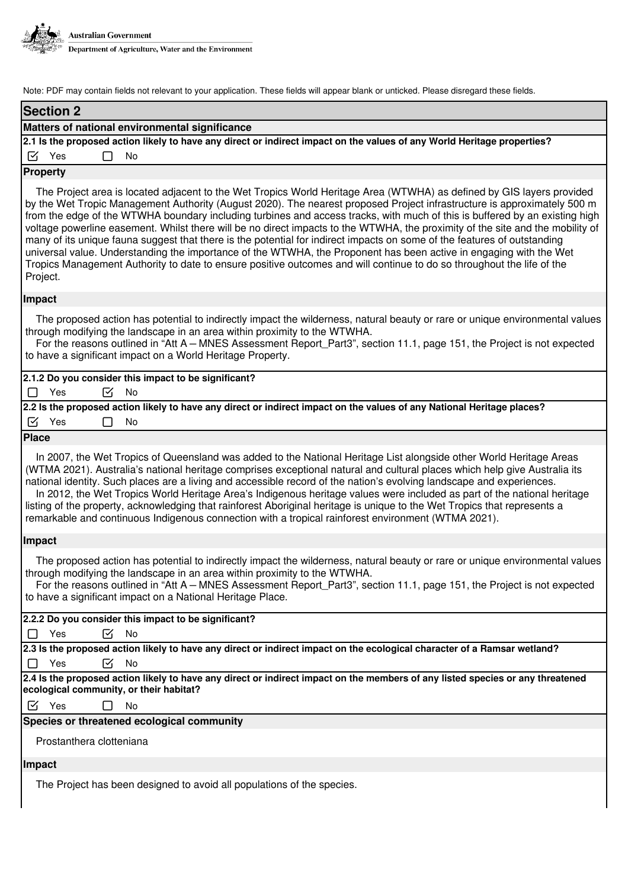

| <b>Section 2</b>                                                                                                                                                                                                                                                                                                                                                                                                                                                                                                                                                                                                                                                                                                                                                                                                                                                                                           |  |  |  |  |
|------------------------------------------------------------------------------------------------------------------------------------------------------------------------------------------------------------------------------------------------------------------------------------------------------------------------------------------------------------------------------------------------------------------------------------------------------------------------------------------------------------------------------------------------------------------------------------------------------------------------------------------------------------------------------------------------------------------------------------------------------------------------------------------------------------------------------------------------------------------------------------------------------------|--|--|--|--|
| Matters of national environmental significance                                                                                                                                                                                                                                                                                                                                                                                                                                                                                                                                                                                                                                                                                                                                                                                                                                                             |  |  |  |  |
| 2.1 Is the proposed action likely to have any direct or indirect impact on the values of any World Heritage properties?                                                                                                                                                                                                                                                                                                                                                                                                                                                                                                                                                                                                                                                                                                                                                                                    |  |  |  |  |
| $\boxtimes$ Yes<br>No                                                                                                                                                                                                                                                                                                                                                                                                                                                                                                                                                                                                                                                                                                                                                                                                                                                                                      |  |  |  |  |
| <b>Property</b>                                                                                                                                                                                                                                                                                                                                                                                                                                                                                                                                                                                                                                                                                                                                                                                                                                                                                            |  |  |  |  |
| The Project area is located adjacent to the Wet Tropics World Heritage Area (WTWHA) as defined by GIS layers provided<br>by the Wet Tropic Management Authority (August 2020). The nearest proposed Project infrastructure is approximately 500 m<br>from the edge of the WTWHA boundary including turbines and access tracks, with much of this is buffered by an existing high<br>voltage powerline easement. Whilst there will be no direct impacts to the WTWHA, the proximity of the site and the mobility of<br>many of its unique fauna suggest that there is the potential for indirect impacts on some of the features of outstanding<br>universal value. Understanding the importance of the WTWHA, the Proponent has been active in engaging with the Wet<br>Tropics Management Authority to date to ensure positive outcomes and will continue to do so throughout the life of the<br>Project. |  |  |  |  |
| Impact                                                                                                                                                                                                                                                                                                                                                                                                                                                                                                                                                                                                                                                                                                                                                                                                                                                                                                     |  |  |  |  |
| The proposed action has potential to indirectly impact the wilderness, natural beauty or rare or unique environmental values<br>through modifying the landscape in an area within proximity to the WTWHA.<br>For the reasons outlined in "Att A - MNES Assessment Report_Part3", section 11.1, page 151, the Project is not expected<br>to have a significant impact on a World Heritage Property.                                                                                                                                                                                                                                                                                                                                                                                                                                                                                                         |  |  |  |  |
| 2.1.2 Do you consider this impact to be significant?                                                                                                                                                                                                                                                                                                                                                                                                                                                                                                                                                                                                                                                                                                                                                                                                                                                       |  |  |  |  |
| М<br>Yes<br><b>No</b><br>П                                                                                                                                                                                                                                                                                                                                                                                                                                                                                                                                                                                                                                                                                                                                                                                                                                                                                 |  |  |  |  |
| 2.2 Is the proposed action likely to have any direct or indirect impact on the values of any National Heritage places?                                                                                                                                                                                                                                                                                                                                                                                                                                                                                                                                                                                                                                                                                                                                                                                     |  |  |  |  |
| $\boxtimes$ Yes<br>No                                                                                                                                                                                                                                                                                                                                                                                                                                                                                                                                                                                                                                                                                                                                                                                                                                                                                      |  |  |  |  |
| <b>Place</b>                                                                                                                                                                                                                                                                                                                                                                                                                                                                                                                                                                                                                                                                                                                                                                                                                                                                                               |  |  |  |  |
| In 2007, the Wet Tropics of Queensland was added to the National Heritage List alongside other World Heritage Areas<br>(WTMA 2021). Australia's national heritage comprises exceptional natural and cultural places which help give Australia its<br>national identity. Such places are a living and accessible record of the nation's evolving landscape and experiences.<br>In 2012, the Wet Tropics World Heritage Area's Indigenous heritage values were included as part of the national heritage<br>listing of the property, acknowledging that rainforest Aboriginal heritage is unique to the Wet Tropics that represents a<br>remarkable and continuous Indigenous connection with a tropical rainforest environment (WTMA 2021).                                                                                                                                                                 |  |  |  |  |
| Impact                                                                                                                                                                                                                                                                                                                                                                                                                                                                                                                                                                                                                                                                                                                                                                                                                                                                                                     |  |  |  |  |
| The proposed action has potential to indirectly impact the wilderness, natural beauty or rare or unique environmental values<br>through modifying the landscape in an area within proximity to the WTWHA.<br>For the reasons outlined in "Att A - MNES Assessment Report_Part3", section 11.1, page 151, the Project is not expected<br>to have a significant impact on a National Heritage Place.                                                                                                                                                                                                                                                                                                                                                                                                                                                                                                         |  |  |  |  |
| 2.2.2 Do you consider this impact to be significant?                                                                                                                                                                                                                                                                                                                                                                                                                                                                                                                                                                                                                                                                                                                                                                                                                                                       |  |  |  |  |
| ☑<br>No<br>Yes                                                                                                                                                                                                                                                                                                                                                                                                                                                                                                                                                                                                                                                                                                                                                                                                                                                                                             |  |  |  |  |
| 2.3 Is the proposed action likely to have any direct or indirect impact on the ecological character of a Ramsar wetland?                                                                                                                                                                                                                                                                                                                                                                                                                                                                                                                                                                                                                                                                                                                                                                                   |  |  |  |  |
| ☑<br>Yes<br>No<br>ΙI                                                                                                                                                                                                                                                                                                                                                                                                                                                                                                                                                                                                                                                                                                                                                                                                                                                                                       |  |  |  |  |
| 2.4 Is the proposed action likely to have any direct or indirect impact on the members of any listed species or any threatened<br>ecological community, or their habitat?                                                                                                                                                                                                                                                                                                                                                                                                                                                                                                                                                                                                                                                                                                                                  |  |  |  |  |
| $\boxtimes$ Yes<br>No                                                                                                                                                                                                                                                                                                                                                                                                                                                                                                                                                                                                                                                                                                                                                                                                                                                                                      |  |  |  |  |
| Species or threatened ecological community                                                                                                                                                                                                                                                                                                                                                                                                                                                                                                                                                                                                                                                                                                                                                                                                                                                                 |  |  |  |  |
| Prostanthera clotteniana                                                                                                                                                                                                                                                                                                                                                                                                                                                                                                                                                                                                                                                                                                                                                                                                                                                                                   |  |  |  |  |
| Impact                                                                                                                                                                                                                                                                                                                                                                                                                                                                                                                                                                                                                                                                                                                                                                                                                                                                                                     |  |  |  |  |
| The Project has been designed to avoid all populations of the species.                                                                                                                                                                                                                                                                                                                                                                                                                                                                                                                                                                                                                                                                                                                                                                                                                                     |  |  |  |  |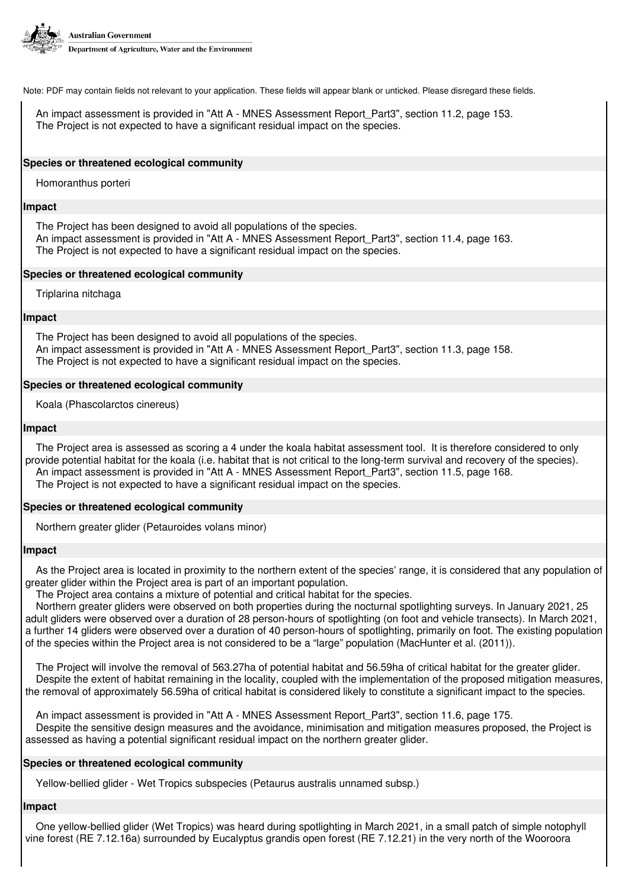

An impact assessment is provided in "Att A - MNES Assessment Report\_Part3", section 11.2, page 153. The Project is not expected to have a significant residual impact on the species.

### **Species or threatened ecological community**

Homoranthus porteri

#### **Impact**

The Project has been designed to avoid all populations of the species. An impact assessment is provided in "Att A - MNES Assessment Report\_Part3", section 11.4, page 163. The Project is not expected to have a significant residual impact on the species.

# **Species or threatened ecological community**

Triplarina nitchaga

### **Impact**

The Project has been designed to avoid all populations of the species. An impact assessment is provided in "Att A - MNES Assessment Report\_Part3", section 11.3, page 158. The Project is not expected to have a significant residual impact on the species.

# **Species or threatened ecological community**

Koala (Phascolarctos cinereus)

#### **Impact**

The Project area is assessed as scoring a 4 under the koala habitat assessment tool. It is therefore considered to only provide potential habitat for the koala (i.e. habitat that is not critical to the long-term survival and recovery of the species). An impact assessment is provided in "Att A - MNES Assessment Report Part3", section 11.5, page 168. The Project is not expected to have a significant residual impact on the species.

# **Species or threatened ecological community**

Northern greater glider (Petauroides volans minor)

# **Impact**

As the Project area is located in proximity to the northern extent of the species' range, it is considered that any population of greater glider within the Project area is part of an important population.

The Project area contains a mixture of potential and critical habitat for the species.

Northern greater gliders were observed on both properties during the nocturnal spotlighting surveys. In January 2021, 25 adult gliders were observed over a duration of 28 person-hours of spotlighting (on foot and vehicle transects). In March 2021, a further 14 gliders were observed over a duration of 40 person-hours of spotlighting, primarily on foot. The existing population of the species within the Project area is not considered to be a "large" population (MacHunter et al. (2011)).

The Project will involve the removal of 563.27ha of potential habitat and 56.59ha of critical habitat for the greater glider. Despite the extent of habitat remaining in the locality, coupled with the implementation of the proposed mitigation measures, the removal of approximately 56.59ha of critical habitat is considered likely to constitute a significant impact to the species.

An impact assessment is provided in "Att A - MNES Assessment Report Part3", section 11.6, page 175. Despite the sensitive design measures and the avoidance, minimisation and mitigation measures proposed, the Project is assessed as having a potential significant residual impact on the northern greater glider.

# **Species or threatened ecological community**

Yellow-bellied glider - Wet Tropics subspecies (Petaurus australis unnamed subsp.)

#### **Impact**

One yellow-bellied glider (Wet Tropics) was heard during spotlighting in March 2021, in a small patch of simple notophyll vine forest (RE 7.12.16a) surrounded by Eucalyptus grandis open forest (RE 7.12.21) in the very north of the Wooroora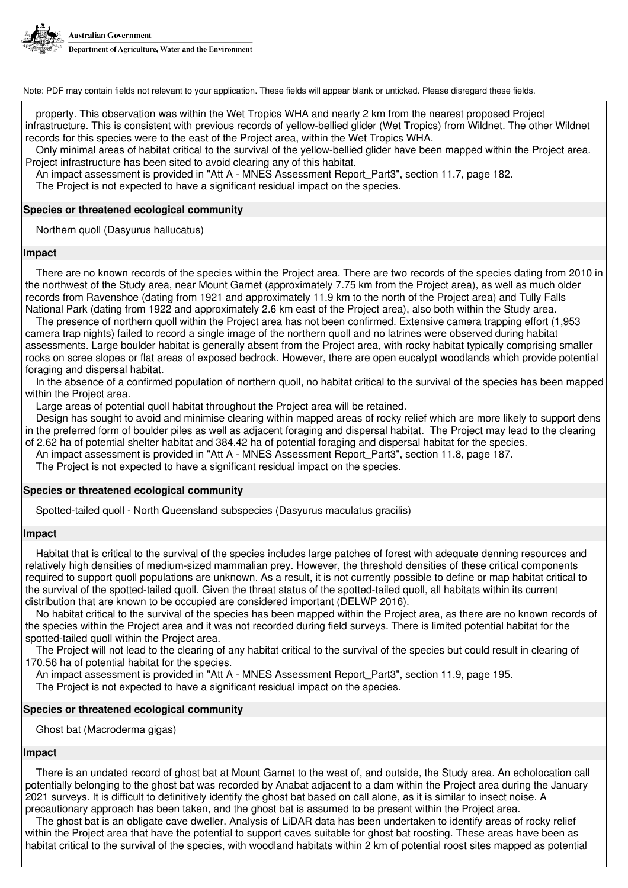

property. This observation was within the Wet Tropics WHA and nearly 2 km from the nearest proposed Project infrastructure. This is consistent with previous records of yellow-bellied glider (Wet Tropics) from Wildnet. The other Wildnet records for this species were to the east of the Project area, within the Wet Tropics WHA.

Only minimal areas of habitat critical to the survival of the yellow-bellied glider have been mapped within the Project area. Project infrastructure has been sited to avoid clearing any of this habitat.

An impact assessment is provided in "Att A - MNES Assessment Report Part3", section 11.7, page 182.

The Project is not expected to have a significant residual impact on the species.

# **Species or threatened ecological community**

Northern quoll (Dasyurus hallucatus)

# **Impact**

There are no known records of the species within the Project area. There are two records of the species dating from 2010 in the northwest of the Study area, near Mount Garnet (approximately 7.75 km from the Project area), as well as much older records from Ravenshoe (dating from 1921 and approximately 11.9 km to the north of the Project area) and Tully Falls National Park (dating from 1922 and approximately 2.6 km east of the Project area), also both within the Study area.

The presence of northern quoll within the Project area has not been confirmed. Extensive camera trapping effort (1,953 camera trap nights) failed to record a single image of the northern quoll and no latrines were observed during habitat assessments. Large boulder habitat is generally absent from the Project area, with rocky habitat typically comprising smaller rocks on scree slopes or flat areas of exposed bedrock. However, there are open eucalypt woodlands which provide potential foraging and dispersal habitat.

In the absence of a confirmed population of northern quoll, no habitat critical to the survival of the species has been mapped within the Project area.

Large areas of potential quoll habitat throughout the Project area will be retained.

Design has sought to avoid and minimise clearing within mapped areas of rocky relief which are more likely to support dens in the preferred form of boulder piles as well as adjacent foraging and dispersal habitat. The Project may lead to the clearing of 2.62 ha of potential shelter habitat and 384.42 ha of potential foraging and dispersal habitat for the species.

An impact assessment is provided in "Att A - MNES Assessment Report Part3", section 11.8, page 187.

The Project is not expected to have a significant residual impact on the species.

# **Species or threatened ecological community**

Spotted-tailed quoll - North Queensland subspecies (Dasyurus maculatus gracilis)

# **Impact**

Habitat that is critical to the survival of the species includes large patches of forest with adequate denning resources and relatively high densities of medium-sized mammalian prey. However, the threshold densities of these critical components required to support quoll populations are unknown. As a result, it is not currently possible to define or map habitat critical to the survival of the spotted-tailed quoll. Given the threat status of the spotted-tailed quoll, all habitats within its current distribution that are known to be occupied are considered important (DELWP 2016).

No habitat critical to the survival of the species has been mapped within the Project area, as there are no known records of the species within the Project area and it was not recorded during field surveys. There is limited potential habitat for the spotted-tailed quoll within the Project area.

The Project will not lead to the clearing of any habitat critical to the survival of the species but could result in clearing of 170.56 ha of potential habitat for the species.

An impact assessment is provided in "Att A - MNES Assessment Report\_Part3", section 11.9, page 195.

The Project is not expected to have a significant residual impact on the species.

# **Species or threatened ecological community**

Ghost bat (Macroderma gigas)

# **Impact**

There is an undated record of ghost bat at Mount Garnet to the west of, and outside, the Study area. An echolocation call potentially belonging to the ghost bat was recorded by Anabat adjacent to a dam within the Project area during the January 2021 surveys. It is difficult to definitively identify the ghost bat based on call alone, as it is similar to insect noise. A precautionary approach has been taken, and the ghost bat is assumed to be present within the Project area.

The ghost bat is an obligate cave dweller. Analysis of LiDAR data has been undertaken to identify areas of rocky relief within the Project area that have the potential to support caves suitable for ghost bat roosting. These areas have been as habitat critical to the survival of the species, with woodland habitats within 2 km of potential roost sites mapped as potential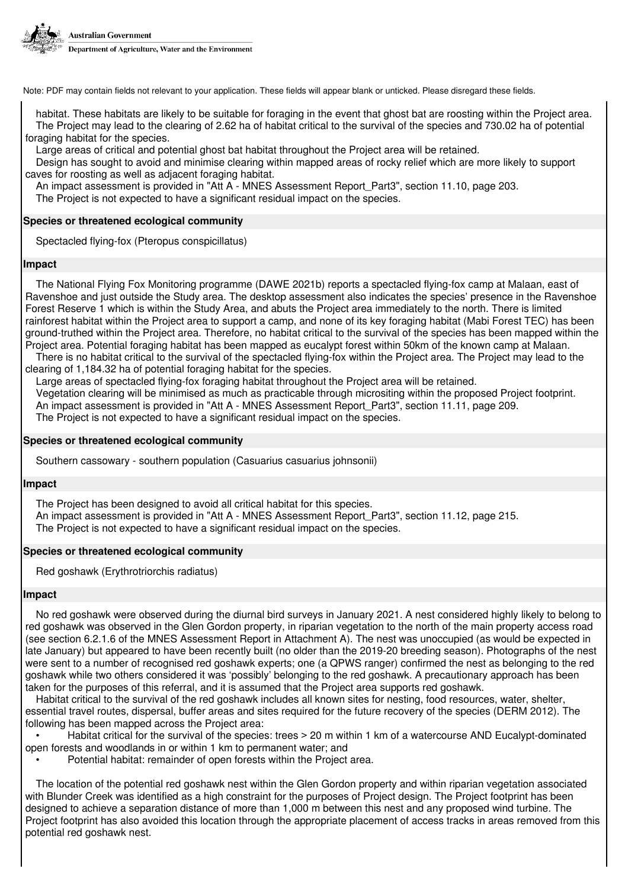

habitat. These habitats are likely to be suitable for foraging in the event that ghost bat are roosting within the Project area. The Project may lead to the clearing of 2.62 ha of habitat critical to the survival of the species and 730.02 ha of potential foraging habitat for the species.

Large areas of critical and potential ghost bat habitat throughout the Project area will be retained.

Design has sought to avoid and minimise clearing within mapped areas of rocky relief which are more likely to support caves for roosting as well as adjacent foraging habitat.

An impact assessment is provided in "Att A - MNES Assessment Report\_Part3", section 11.10, page 203.

The Project is not expected to have a significant residual impact on the species.

# **Species or threatened ecological community**

Spectacled flying-fox (Pteropus conspicillatus)

### **Impact**

The National Flying Fox Monitoring programme (DAWE 2021b) reports a spectacled flying-fox camp at Malaan, east of Ravenshoe and just outside the Study area. The desktop assessment also indicates the species' presence in the Ravenshoe Forest Reserve 1 which is within the Study Area, and abuts the Project area immediately to the north. There is limited rainforest habitat within the Project area to support a camp, and none of its key foraging habitat (Mabi Forest TEC) has been ground-truthed within the Project area. Therefore, no habitat critical to the survival of the species has been mapped within the Project area. Potential foraging habitat has been mapped as eucalypt forest within 50km of the known camp at Malaan.

There is no habitat critical to the survival of the spectacled flying-fox within the Project area. The Project may lead to the clearing of 1,184.32 ha of potential foraging habitat for the species.

Large areas of spectacled flying-fox foraging habitat throughout the Project area will be retained.

Vegetation clearing will be minimised as much as practicable through micrositing within the proposed Project footprint. An impact assessment is provided in "Att A - MNES Assessment Report\_Part3", section 11.11, page 209.

The Project is not expected to have a significant residual impact on the species.

#### **Species or threatened ecological community**

Southern cassowary - southern population (Casuarius casuarius johnsonii)

#### **Impact**

The Project has been designed to avoid all critical habitat for this species. An impact assessment is provided in "Att A - MNES Assessment Report\_Part3", section 11.12, page 215. The Project is not expected to have a significant residual impact on the species.

#### **Species or threatened ecological community**

Red goshawk (Erythrotriorchis radiatus)

#### **Impact**

No red goshawk were observed during the diurnal bird surveys in January 2021. A nest considered highly likely to belong to red goshawk was observed in the Glen Gordon property, in riparian vegetation to the north of the main property access road (see section 6.2.1.6 of the MNES Assessment Report in Attachment A). The nest was unoccupied (as would be expected in late January) but appeared to have been recently built (no older than the 2019-20 breeding season). Photographs of the nest were sent to a number of recognised red goshawk experts; one (a QPWS ranger) confirmed the nest as belonging to the red goshawk while two others considered it was 'possibly' belonging to the red goshawk. A precautionary approach has been taken for the purposes of this referral, and it is assumed that the Project area supports red goshawk.

Habitat critical to the survival of the red goshawk includes all known sites for nesting, food resources, water, shelter, essential travel routes, dispersal, buffer areas and sites required for the future recovery of the species (DERM 2012). The following has been mapped across the Project area:

• Habitat critical for the survival of the species: trees > 20 m within 1 km of a watercourse AND Eucalypt-dominated open forests and woodlands in or within 1 km to permanent water; and

• Potential habitat: remainder of open forests within the Project area.

The location of the potential red goshawk nest within the Glen Gordon property and within riparian vegetation associated with Blunder Creek was identified as a high constraint for the purposes of Project design. The Project footprint has been designed to achieve a separation distance of more than 1,000 m between this nest and any proposed wind turbine. The Project footprint has also avoided this location through the appropriate placement of access tracks in areas removed from this potential red goshawk nest.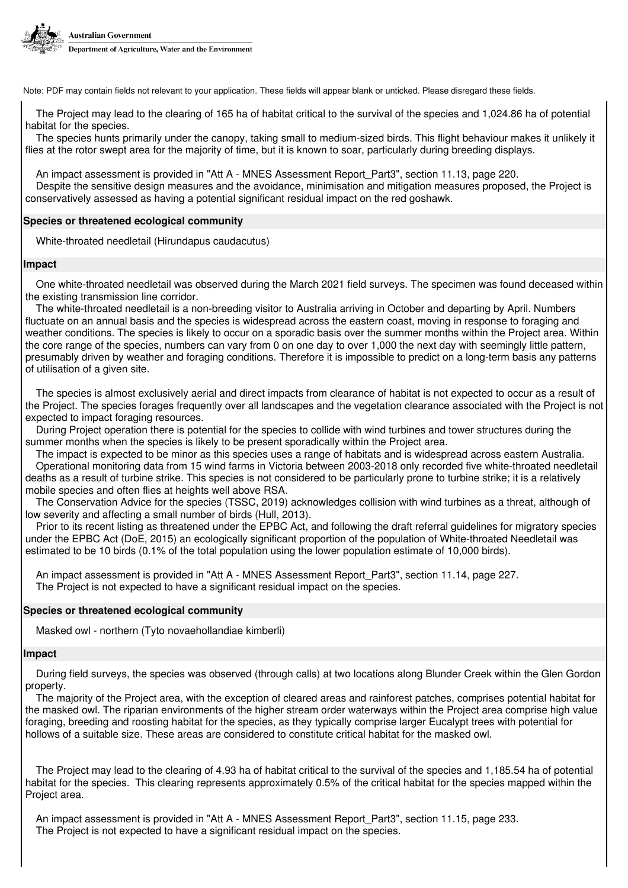

The Project may lead to the clearing of 165 ha of habitat critical to the survival of the species and 1,024.86 ha of potential habitat for the species.

The species hunts primarily under the canopy, taking small to medium-sized birds. This flight behaviour makes it unlikely it flies at the rotor swept area for the majority of time, but it is known to soar, particularly during breeding displays.

An impact assessment is provided in "Att A - MNES Assessment Report\_Part3", section 11.13, page 220. Despite the sensitive design measures and the avoidance, minimisation and mitigation measures proposed, the Project is conservatively assessed as having a potential significant residual impact on the red goshawk.

### **Species or threatened ecological community**

White-throated needletail (Hirundapus caudacutus)

#### **Impact**

One white-throated needletail was observed during the March 2021 field surveys. The specimen was found deceased within the existing transmission line corridor.

The white-throated needletail is a non-breeding visitor to Australia arriving in October and departing by April. Numbers fluctuate on an annual basis and the species is widespread across the eastern coast, moving in response to foraging and weather conditions. The species is likely to occur on a sporadic basis over the summer months within the Project area. Within the core range of the species, numbers can vary from 0 on one day to over 1,000 the next day with seemingly little pattern, presumably driven by weather and foraging conditions. Therefore it is impossible to predict on a long-term basis any patterns of utilisation of a given site.

The species is almost exclusively aerial and direct impacts from clearance of habitat is not expected to occur as a result of the Project. The species forages frequently over all landscapes and the vegetation clearance associated with the Project is not expected to impact foraging resources.

During Project operation there is potential for the species to collide with wind turbines and tower structures during the summer months when the species is likely to be present sporadically within the Project area.

The impact is expected to be minor as this species uses a range of habitats and is widespread across eastern Australia. Operational monitoring data from 15 wind farms in Victoria between 2003-2018 only recorded five white-throated needletail deaths as a result of turbine strike. This species is not considered to be particularly prone to turbine strike; it is a relatively mobile species and often flies at heights well above RSA.

The Conservation Advice for the species (TSSC, 2019) acknowledges collision with wind turbines as a threat, although of low severity and affecting a small number of birds (Hull, 2013).

Prior to its recent listing as threatened under the EPBC Act, and following the draft referral guidelines for migratory species under the EPBC Act (DoE, 2015) an ecologically significant proportion of the population of White-throated Needletail was estimated to be 10 birds (0.1% of the total population using the lower population estimate of 10,000 birds).

An impact assessment is provided in "Att A - MNES Assessment Report\_Part3", section 11.14, page 227. The Project is not expected to have a significant residual impact on the species.

#### **Species or threatened ecological community**

Masked owl - northern (Tyto novaehollandiae kimberli)

#### **Impact**

During field surveys, the species was observed (through calls) at two locations along Blunder Creek within the Glen Gordon property.

The majority of the Project area, with the exception of cleared areas and rainforest patches, comprises potential habitat for the masked owl. The riparian environments of the higher stream order waterways within the Project area comprise high value foraging, breeding and roosting habitat for the species, as they typically comprise larger Eucalypt trees with potential for hollows of a suitable size. These areas are considered to constitute critical habitat for the masked owl.

The Project may lead to the clearing of 4.93 ha of habitat critical to the survival of the species and 1,185.54 ha of potential habitat for the species. This clearing represents approximately 0.5% of the critical habitat for the species mapped within the Project area.

An impact assessment is provided in "Att A - MNES Assessment Report\_Part3", section 11.15, page 233. The Project is not expected to have a significant residual impact on the species.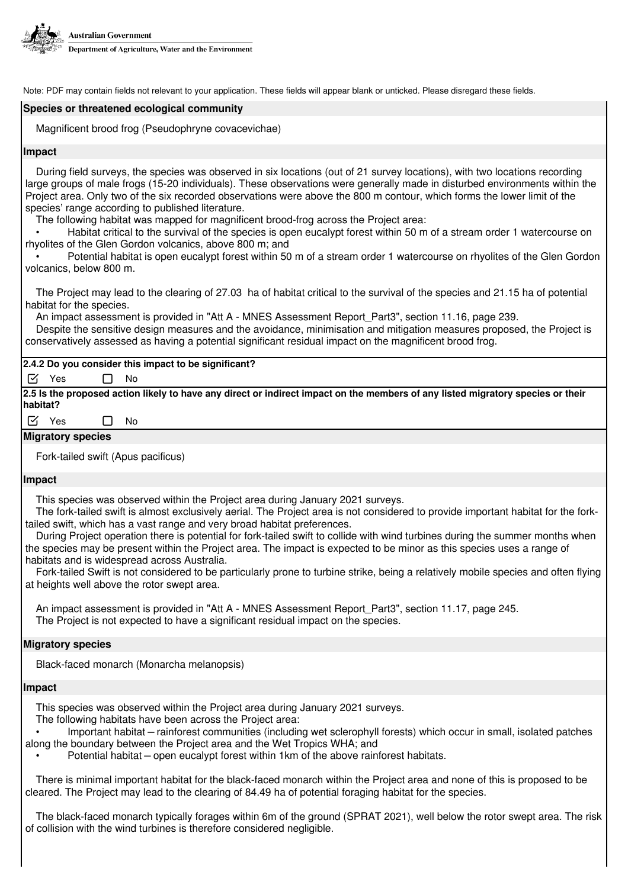

# **Species or threatened ecological community**

Magnificent brood frog (Pseudophryne covacevichae)

#### **Impact**

During field surveys, the species was observed in six locations (out of 21 survey locations), with two locations recording large groups of male frogs (15-20 individuals). These observations were generally made in disturbed environments within the Project area. Only two of the six recorded observations were above the 800 m contour, which forms the lower limit of the species' range according to published literature.

The following habitat was mapped for magnificent brood-frog across the Project area:

• Habitat critical to the survival of the species is open eucalypt forest within 50 m of a stream order 1 watercourse on rhyolites of the Glen Gordon volcanics, above 800 m; and

• Potential habitat is open eucalypt forest within 50 m of a stream order 1 watercourse on rhyolites of the Glen Gordon volcanics, below 800 m.

The Project may lead to the clearing of 27.03 ha of habitat critical to the survival of the species and 21.15 ha of potential habitat for the species.

An impact assessment is provided in "Att A - MNES Assessment Report\_Part3", section 11.16, page 239.

Despite the sensitive design measures and the avoidance, minimisation and mitigation measures proposed, the Project is conservatively assessed as having a potential significant residual impact on the magnificent brood frog.

# **2.4.2 Do you consider this impact to be significant?**

 $\triangledown$  Yes  $\Box$  No

**2.5 Is the proposed action likely to have any direct or indirect impact on the members of any listed migratory species or their habitat?**

 $\triangledown$  Yes  $\Box$  No

# **Migratory species**

Fork-tailed swift (Apus pacificus)

# **Impact**

This species was observed within the Project area during January 2021 surveys.

The fork-tailed swift is almost exclusively aerial. The Project area is not considered to provide important habitat for the forktailed swift, which has a vast range and very broad habitat preferences.

During Project operation there is potential for fork-tailed swift to collide with wind turbines during the summer months when the species may be present within the Project area. The impact is expected to be minor as this species uses a range of habitats and is widespread across Australia.

Fork-tailed Swift is not considered to be particularly prone to turbine strike, being a relatively mobile species and often flying at heights well above the rotor swept area.

An impact assessment is provided in "Att A - MNES Assessment Report\_Part3", section 11.17, page 245. The Project is not expected to have a significant residual impact on the species.

# **Migratory species**

Black-faced monarch (Monarcha melanopsis)

# **Impact**

This species was observed within the Project area during January 2021 surveys.

The following habitats have been across the Project area:

• Important habitat – rainforest communities (including wet sclerophyll forests) which occur in small, isolated patches along the boundary between the Project area and the Wet Tropics WHA; and

Potential habitat – open eucalypt forest within 1km of the above rainforest habitats.

There is minimal important habitat for the black-faced monarch within the Project area and none of this is proposed to be cleared. The Project may lead to the clearing of 84.49 ha of potential foraging habitat for the species.

The black-faced monarch typically forages within 6m of the ground (SPRAT 2021), well below the rotor swept area. The risk of collision with the wind turbines is therefore considered negligible.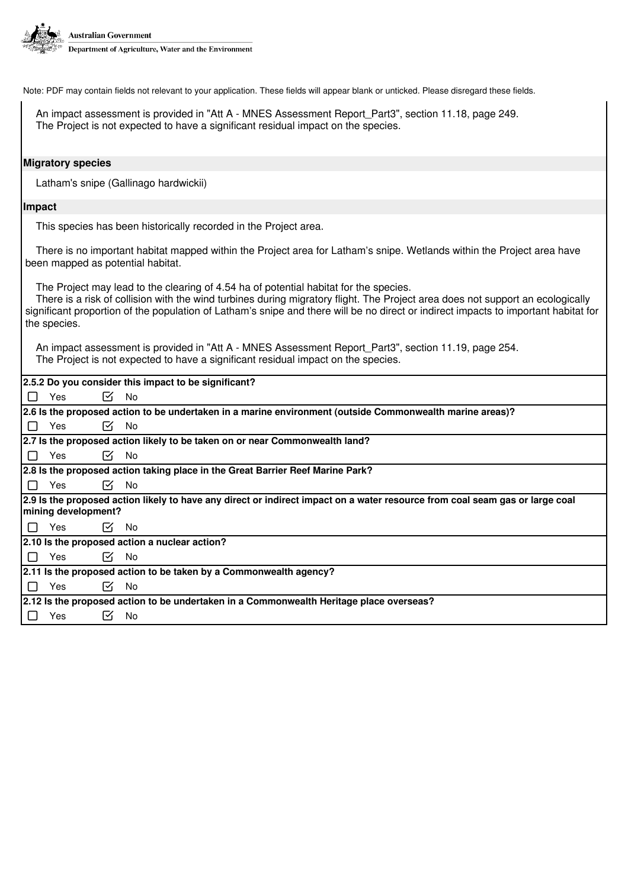

An impact assessment is provided in "Att A - MNES Assessment Report Part3", section 11.18, page 249. The Project is not expected to have a significant residual impact on the species.

#### **Migratory species**

Latham's snipe (Gallinago hardwickii)

#### **Impact**

This species has been historically recorded in the Project area.

There is no important habitat mapped within the Project area for Latham's snipe. Wetlands within the Project area have been mapped as potential habitat.

The Project may lead to the clearing of 4.54 ha of potential habitat for the species.

There is a risk of collision with the wind turbines during migratory flight. The Project area does not support an ecologically significant proportion of the population of Latham's snipe and there will be no direct or indirect impacts to important habitat for the species.

An impact assessment is provided in "Att A - MNES Assessment Report\_Part3", section 11.19, page 254. The Project is not expected to have a significant residual impact on the species.

| 2.5.2 Do you consider this impact to be significant?                                                                                                |  |  |  |  |
|-----------------------------------------------------------------------------------------------------------------------------------------------------|--|--|--|--|
| ☑<br>No<br>$\Box$<br>Yes                                                                                                                            |  |  |  |  |
| 2.6 Is the proposed action to be undertaken in a marine environment (outside Commonwealth marine areas)?                                            |  |  |  |  |
| ⊠<br>$\Box$<br>Yes<br>No                                                                                                                            |  |  |  |  |
| 2.7 Is the proposed action likely to be taken on or near Commonwealth land?                                                                         |  |  |  |  |
| $\Box$<br>Yes<br>$\mathsf{K}$<br>No                                                                                                                 |  |  |  |  |
| 2.8 Is the proposed action taking place in the Great Barrier Reef Marine Park?                                                                      |  |  |  |  |
| Yes<br>⊠<br>No<br>$\Box$                                                                                                                            |  |  |  |  |
| 2.9 Is the proposed action likely to have any direct or indirect impact on a water resource from coal seam gas or large coal<br>mining development? |  |  |  |  |
| $\Box$<br>Yes<br><b>No</b><br>$\mathcal{N}_1$                                                                                                       |  |  |  |  |
| 2.10 Is the proposed action a nuclear action?                                                                                                       |  |  |  |  |
| $\Box$<br>Yes<br>$\mathcal{N}_\mathbf{L}$<br>No                                                                                                     |  |  |  |  |
| 2.11 Is the proposed action to be taken by a Commonwealth agency?                                                                                   |  |  |  |  |
| Yes<br>⊠<br><b>No</b><br>$\Box$                                                                                                                     |  |  |  |  |
| 2.12 Is the proposed action to be undertaken in a Commonwealth Heritage place overseas?                                                             |  |  |  |  |
| Yes<br>lЧ<br>No<br>$\mathbf{1}$                                                                                                                     |  |  |  |  |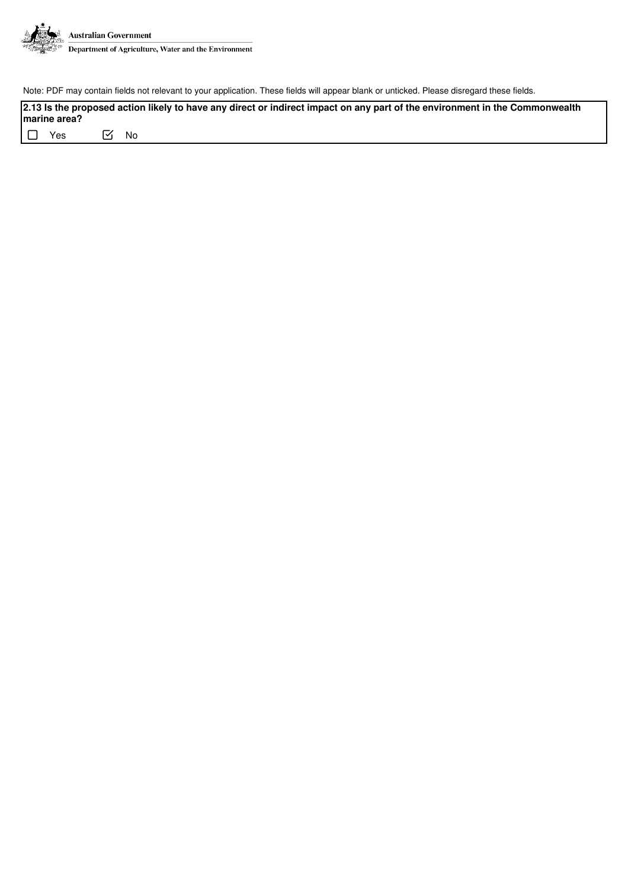

**2.13 Is the proposed action likely to have any direct or indirect impact on any part of the environment in the Commonwealth marine area?**

□ Yes No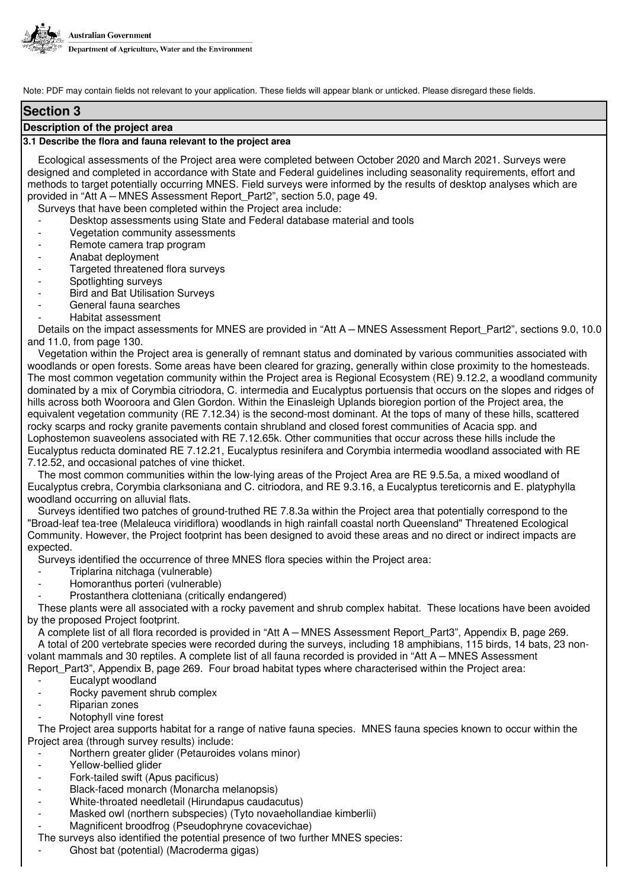

# **Section 3**

#### **Description of the project area**

#### **3.1 Describe the flora and fauna relevant to the project area**

Ecological assessments of the Project area were completed between October 2020 and March 2021. Surveys were designed and completed in accordance with State and Federal guidelines including seasonality requirements, effort and methods to target potentially occurring MNES. Field surveys were informed by the results of desktop analyses which are provided in "Att A – MNES Assessment Report\_Part2", section 5.0, page 49.

Surveys that have been completed within the Project area include:

- Desktop assessments using State and Federal database material and tools
- Vegetation community assessments
- Remote camera trap program
- Anabat deployment
- Targeted threatened flora surveys
- Spotlighting surveys
- Bird and Bat Utilisation Surveys
- General fauna searches
- Habitat assessment

Details on the impact assessments for MNES are provided in "Att A – MNES Assessment Report\_Part2", sections 9.0, 10.0 and 11.0, from page 130.

Vegetation within the Project area is generally of remnant status and dominated by various communities associated with woodlands or open forests. Some areas have been cleared for grazing, generally within close proximity to the homesteads. The most common vegetation community within the Project area is Regional Ecosystem (RE) 9.12.2, a woodland community dominated by a mix of Corymbia citriodora, C. intermedia and Eucalyptus portuensis that occurs on the slopes and ridges of hills across both Wooroora and Glen Gordon. Within the Einasleigh Uplands bioregion portion of the Project area, the equivalent vegetation community (RE 7.12.34) is the second-most dominant. At the tops of many of these hills, scattered rocky scarps and rocky granite pavements contain shrubland and closed forest communities of Acacia spp. and Lophostemon suaveolens associated with RE 7.12.65k. Other communities that occur across these hills include the Eucalyptus reducta dominated RE 7.12.21, Eucalyptus resinifera and Corymbia intermedia woodland associated with RE 7.12.52, and occasional patches of vine thicket.

The most common communities within the low-lying areas of the Project Area are RE 9.5.5a, a mixed woodland of Eucalyptus crebra, Corymbia clarksoniana and C. citriodora, and RE 9.3.16, a Eucalyptus tereticornis and E. platyphylla woodland occurring on alluvial flats.

Surveys identified two patches of ground-truthed RE 7.8.3a within the Project area that potentially correspond to the "Broad-leaf tea-tree (Melaleuca viridiflora) woodlands in high rainfall coastal north Queensland" Threatened Ecological Community. However, the Project footprint has been designed to avoid these areas and no direct or indirect impacts are expected.

Surveys identified the occurrence of three MNES flora species within the Project area:

- Triplarina nitchaga (vulnerable)
- Homoranthus porteri (vulnerable)
- Prostanthera clotteniana (critically endangered)

These plants were all associated with a rocky pavement and shrub complex habitat. These locations have been avoided by the proposed Project footprint.

A complete list of all flora recorded is provided in "Att A – MNES Assessment Report\_Part3", Appendix B, page 269. A total of 200 vertebrate species were recorded during the surveys, including 18 amphibians, 115 birds, 14 bats, 23 nonvolant mammals and 30 reptiles. A complete list of all fauna recorded is provided in "Att A – MNES Assessment Report\_Part3", Appendix B, page 269. Four broad habitat types where characterised within the Project area:

- Eucalypt woodland
- Rocky pavement shrub complex
- Riparian zones
- Notophyll vine forest

The Project area supports habitat for a range of native fauna species. MNES fauna species known to occur within the Project area (through survey results) include:

Northern greater glider (Petauroides volans minor)

- Yellow-bellied glider
- Fork-tailed swift (Apus pacificus)
- Black-faced monarch (Monarcha melanopsis)
- White-throated needletail (Hirundapus caudacutus)
- Masked owl (northern subspecies) (Tyto novaehollandiae kimberlii)
- Magnificent broodfrog (Pseudophryne covacevichae)

The surveys also identified the potential presence of two further MNES species:

Ghost bat (potential) (Macroderma gigas)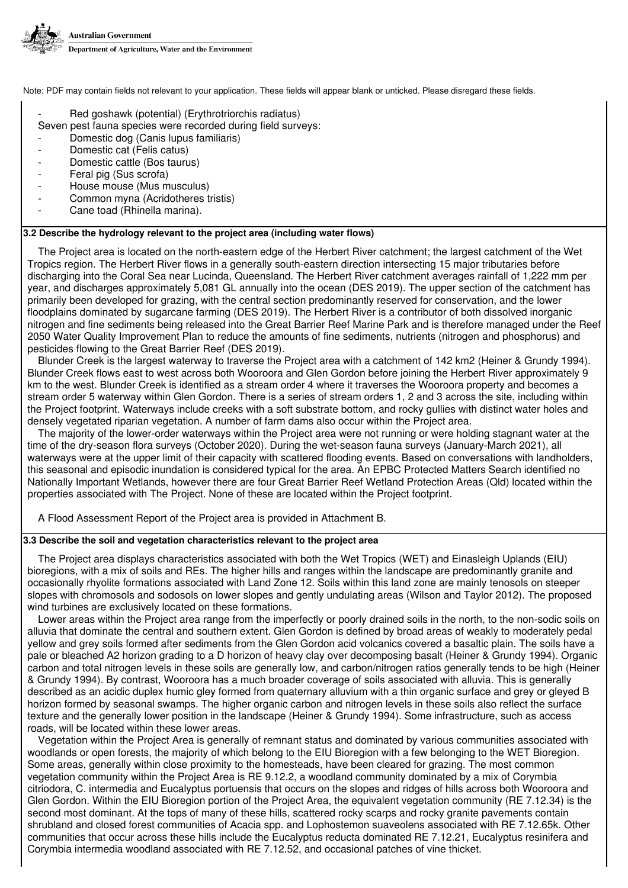

- Red goshawk (potential) (Erythrotriorchis radiatus)
- Seven pest fauna species were recorded during field surveys:
- Domestic dog (Canis lupus familiaris)
- Domestic cat (Felis catus)
- Domestic cattle (Bos taurus)
- Feral pig (Sus scrofa)
- House mouse (Mus musculus)
- Common myna (Acridotheres tristis)
- Cane toad (Rhinella marina).

# **3.2 Describe the hydrology relevant to the project area (including water flows)**

The Project area is located on the north-eastern edge of the Herbert River catchment; the largest catchment of the Wet Tropics region. The Herbert River flows in a generally south-eastern direction intersecting 15 major tributaries before discharging into the Coral Sea near Lucinda, Queensland. The Herbert River catchment averages rainfall of 1,222 mm per year, and discharges approximately 5,081 GL annually into the ocean (DES 2019). The upper section of the catchment has primarily been developed for grazing, with the central section predominantly reserved for conservation, and the lower floodplains dominated by sugarcane farming (DES 2019). The Herbert River is a contributor of both dissolved inorganic nitrogen and fine sediments being released into the Great Barrier Reef Marine Park and is therefore managed under the Reef 2050 Water Quality Improvement Plan to reduce the amounts of fine sediments, nutrients (nitrogen and phosphorus) and pesticides flowing to the Great Barrier Reef (DES 2019).

Blunder Creek is the largest waterway to traverse the Project area with a catchment of 142 km2 (Heiner & Grundy 1994). Blunder Creek flows east to west across both Wooroora and Glen Gordon before joining the Herbert River approximately 9 km to the west. Blunder Creek is identified as a stream order 4 where it traverses the Wooroora property and becomes a stream order 5 waterway within Glen Gordon. There is a series of stream orders 1, 2 and 3 across the site, including within the Project footprint. Waterways include creeks with a soft substrate bottom, and rocky gullies with distinct water holes and densely vegetated riparian vegetation. A number of farm dams also occur within the Project area.

The majority of the lower-order waterways within the Project area were not running or were holding stagnant water at the time of the dry-season flora surveys (October 2020). During the wet-season fauna surveys (January-March 2021), all waterways were at the upper limit of their capacity with scattered flooding events. Based on conversations with landholders, this seasonal and episodic inundation is considered typical for the area. An EPBC Protected Matters Search identified no Nationally Important Wetlands, however there are four Great Barrier Reef Wetland Protection Areas (Qld) located within the properties associated with The Project. None of these are located within the Project footprint.

A Flood Assessment Report of the Project area is provided in Attachment B.

# **3.3 Describe the soil and vegetation characteristics relevant to the project area**

The Project area displays characteristics associated with both the Wet Tropics (WET) and Einasleigh Uplands (EIU) bioregions, with a mix of soils and REs. The higher hills and ranges within the landscape are predominantly granite and occasionally rhyolite formations associated with Land Zone 12. Soils within this land zone are mainly tenosols on steeper slopes with chromosols and sodosols on lower slopes and gently undulating areas (Wilson and Taylor 2012). The proposed wind turbines are exclusively located on these formations.

Lower areas within the Project area range from the imperfectly or poorly drained soils in the north, to the non-sodic soils on alluvia that dominate the central and southern extent. Glen Gordon is defined by broad areas of weakly to moderately pedal yellow and grey soils formed after sediments from the Glen Gordon acid volcanics covered a basaltic plain. The soils have a pale or bleached A2 horizon grading to a D horizon of heavy clay over decomposing basalt (Heiner & Grundy 1994). Organic carbon and total nitrogen levels in these soils are generally low, and carbon/nitrogen ratios generally tends to be high (Heiner & Grundy 1994). By contrast, Wooroora has a much broader coverage of soils associated with alluvia. This is generally described as an acidic duplex humic gley formed from quaternary alluvium with a thin organic surface and grey or gleyed B horizon formed by seasonal swamps. The higher organic carbon and nitrogen levels in these soils also reflect the surface texture and the generally lower position in the landscape (Heiner & Grundy 1994). Some infrastructure, such as access roads, will be located within these lower areas.

Vegetation within the Project Area is generally of remnant status and dominated by various communities associated with woodlands or open forests, the majority of which belong to the EIU Bioregion with a few belonging to the WET Bioregion. Some areas, generally within close proximity to the homesteads, have been cleared for grazing. The most common vegetation community within the Project Area is RE 9.12.2, a woodland community dominated by a mix of Corymbia citriodora, C. intermedia and Eucalyptus portuensis that occurs on the slopes and ridges of hills across both Wooroora and Glen Gordon. Within the EIU Bioregion portion of the Project Area, the equivalent vegetation community (RE 7.12.34) is the second most dominant. At the tops of many of these hills, scattered rocky scarps and rocky granite pavements contain shrubland and closed forest communities of Acacia spp. and Lophostemon suaveolens associated with RE 7.12.65k. Other communities that occur across these hills include the Eucalyptus reducta dominated RE 7.12.21, Eucalyptus resinifera and Corymbia intermedia woodland associated with RE 7.12.52, and occasional patches of vine thicket.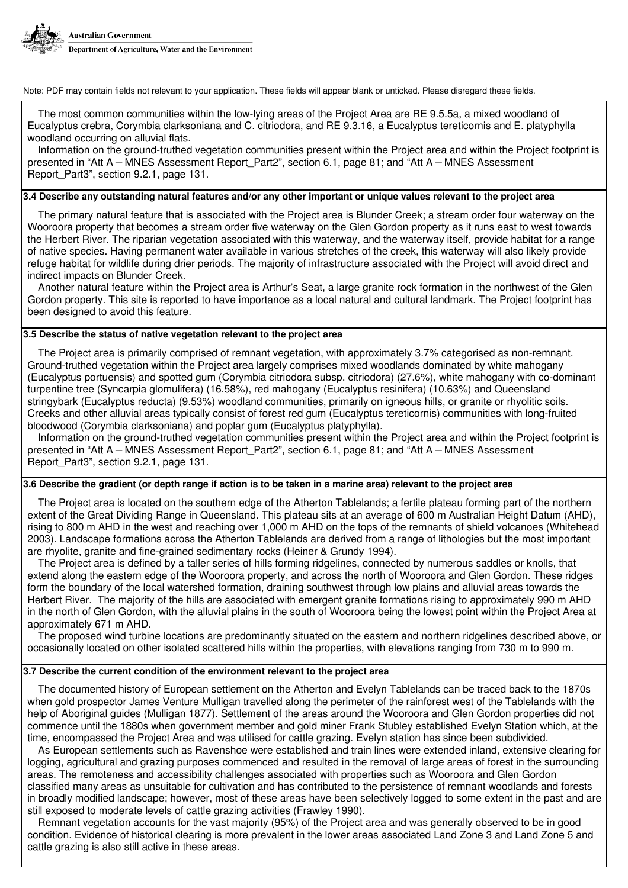

The most common communities within the low-lying areas of the Project Area are RE 9.5.5a, a mixed woodland of Eucalyptus crebra, Corymbia clarksoniana and C. citriodora, and RE 9.3.16, a Eucalyptus tereticornis and E. platyphylla woodland occurring on alluvial flats.

Information on the ground-truthed vegetation communities present within the Project area and within the Project footprint is presented in "Att A – MNES Assessment Report\_Part2", section 6.1, page 81; and "Att A – MNES Assessment Report Part3", section 9.2.1, page 131.

# **3.4 Describe any outstanding natural features and/or any other important or unique values relevant to the project area**

The primary natural feature that is associated with the Project area is Blunder Creek; a stream order four waterway on the Wooroora property that becomes a stream order five waterway on the Glen Gordon property as it runs east to west towards the Herbert River. The riparian vegetation associated with this waterway, and the waterway itself, provide habitat for a range of native species. Having permanent water available in various stretches of the creek, this waterway will also likely provide refuge habitat for wildlife during drier periods. The majority of infrastructure associated with the Project will avoid direct and indirect impacts on Blunder Creek.

Another natural feature within the Project area is Arthur's Seat, a large granite rock formation in the northwest of the Glen Gordon property. This site is reported to have importance as a local natural and cultural landmark. The Project footprint has been designed to avoid this feature.

# **3.5 Describe the status of native vegetation relevant to the project area**

The Project area is primarily comprised of remnant vegetation, with approximately 3.7% categorised as non-remnant. Ground-truthed vegetation within the Project area largely comprises mixed woodlands dominated by white mahogany (Eucalyptus portuensis) and spotted gum (Corymbia citriodora subsp. citriodora) (27.6%), white mahogany with co-dominant turpentine tree (Syncarpia glomulifera) (16.58%), red mahogany (Eucalyptus resinifera) (10.63%) and Queensland stringybark (Eucalyptus reducta) (9.53%) woodland communities, primarily on igneous hills, or granite or rhyolitic soils. Creeks and other alluvial areas typically consist of forest red gum (Eucalyptus tereticornis) communities with long-fruited bloodwood (Corymbia clarksoniana) and poplar gum (Eucalyptus platyphylla).

Information on the ground-truthed vegetation communities present within the Project area and within the Project footprint is presented in "Att A – MNES Assessment Report\_Part2", section 6.1, page 81; and "Att A – MNES Assessment Report Part3", section 9.2.1, page 131.

#### **3.6 Describe the gradient (or depth range if action is to be taken in a marine area) relevant to the project area**

The Project area is located on the southern edge of the Atherton Tablelands; a fertile plateau forming part of the northern extent of the Great Dividing Range in Queensland. This plateau sits at an average of 600 m Australian Height Datum (AHD), rising to 800 m AHD in the west and reaching over 1,000 m AHD on the tops of the remnants of shield volcanoes (Whitehead 2003). Landscape formations across the Atherton Tablelands are derived from a range of lithologies but the most important are rhyolite, granite and fine-grained sedimentary rocks (Heiner & Grundy 1994).

The Project area is defined by a taller series of hills forming ridgelines, connected by numerous saddles or knolls, that extend along the eastern edge of the Wooroora property, and across the north of Wooroora and Glen Gordon. These ridges form the boundary of the local watershed formation, draining southwest through low plains and alluvial areas towards the Herbert River. The majority of the hills are associated with emergent granite formations rising to approximately 990 m AHD in the north of Glen Gordon, with the alluvial plains in the south of Wooroora being the lowest point within the Project Area at approximately 671 m AHD.

The proposed wind turbine locations are predominantly situated on the eastern and northern ridgelines described above, or occasionally located on other isolated scattered hills within the properties, with elevations ranging from 730 m to 990 m.

### **3.7 Describe the current condition of the environment relevant to the project area**

The documented history of European settlement on the Atherton and Evelyn Tablelands can be traced back to the 1870s when gold prospector James Venture Mulligan travelled along the perimeter of the rainforest west of the Tablelands with the help of Aboriginal guides (Mulligan 1877). Settlement of the areas around the Wooroora and Glen Gordon properties did not commence until the 1880s when government member and gold miner Frank Stubley established Evelyn Station which, at the time, encompassed the Project Area and was utilised for cattle grazing. Evelyn station has since been subdivided.

As European settlements such as Ravenshoe were established and train lines were extended inland, extensive clearing for logging, agricultural and grazing purposes commenced and resulted in the removal of large areas of forest in the surrounding areas. The remoteness and accessibility challenges associated with properties such as Wooroora and Glen Gordon classified many areas as unsuitable for cultivation and has contributed to the persistence of remnant woodlands and forests in broadly modified landscape; however, most of these areas have been selectively logged to some extent in the past and are still exposed to moderate levels of cattle grazing activities (Frawley 1990).

Remnant vegetation accounts for the vast majority (95%) of the Project area and was generally observed to be in good condition. Evidence of historical clearing is more prevalent in the lower areas associated Land Zone 3 and Land Zone 5 and cattle grazing is also still active in these areas.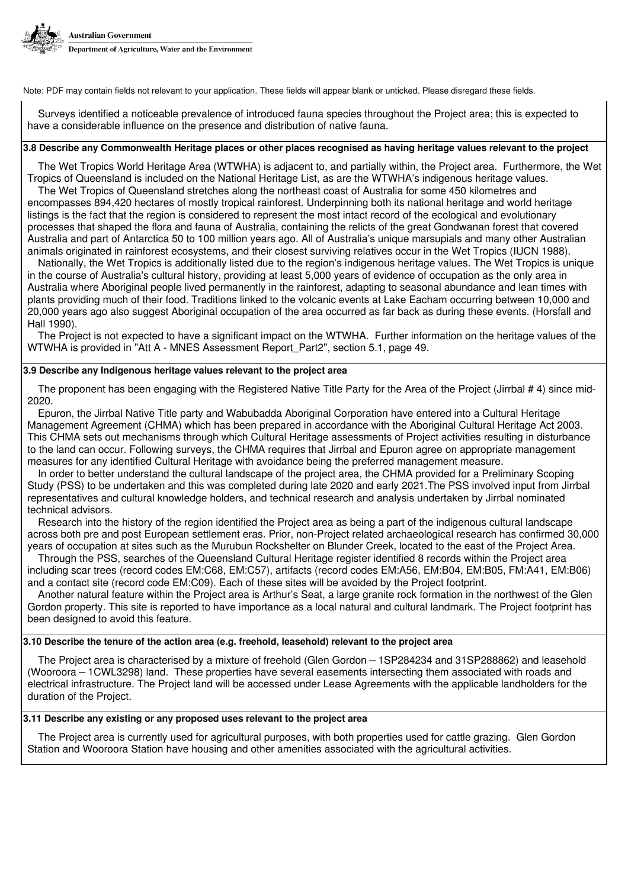

Surveys identified a noticeable prevalence of introduced fauna species throughout the Project area; this is expected to have a considerable influence on the presence and distribution of native fauna.

# **3.8 Describe any Commonwealth Heritage places or other places recognised as having heritage values relevant to the project**

The Wet Tropics World Heritage Area (WTWHA) is adjacent to, and partially within, the Project area. Furthermore, the Wet Tropics of Queensland is included on the National Heritage List, as are the WTWHA's indigenous heritage values.

The Wet Tropics of Queensland stretches along the northeast coast of Australia for some 450 kilometres and encompasses 894,420 hectares of mostly tropical rainforest. Underpinning both its national heritage and world heritage listings is the fact that the region is considered to represent the most intact record of the ecological and evolutionary processes that shaped the flora and fauna of Australia, containing the relicts of the great Gondwanan forest that covered Australia and part of Antarctica 50 to 100 million years ago. All of Australia's unique marsupials and many other Australian animals originated in rainforest ecosystems, and their closest surviving relatives occur in the Wet Tropics (IUCN 1988).

Nationally, the Wet Tropics is additionally listed due to the region's indigenous heritage values. The Wet Tropics is unique in the course of Australia's cultural history, providing at least 5,000 years of evidence of occupation as the only area in Australia where Aboriginal people lived permanently in the rainforest, adapting to seasonal abundance and lean times with plants providing much of their food. Traditions linked to the volcanic events at Lake Eacham occurring between 10,000 and 20,000 years ago also suggest Aboriginal occupation of the area occurred as far back as during these events. (Horsfall and Hall 1990).

The Project is not expected to have a significant impact on the WTWHA. Further information on the heritage values of the WTWHA is provided in "Att A - MNES Assessment Report Part2", section 5.1, page 49.

# **3.9 Describe any Indigenous heritage values relevant to the project area**

The proponent has been engaging with the Registered Native Title Party for the Area of the Project (Jirrbal #4) since mid-2020.

Epuron, the Jirrbal Native Title party and Wabubadda Aboriginal Corporation have entered into a Cultural Heritage Management Agreement (CHMA) which has been prepared in accordance with the Aboriginal Cultural Heritage Act 2003. This CHMA sets out mechanisms through which Cultural Heritage assessments of Project activities resulting in disturbance to the land can occur. Following surveys, the CHMA requires that Jirrbal and Epuron agree on appropriate management measures for any identified Cultural Heritage with avoidance being the preferred management measure.

In order to better understand the cultural landscape of the project area, the CHMA provided for a Preliminary Scoping Study (PSS) to be undertaken and this was completed during late 2020 and early 2021.The PSS involved input from Jirrbal representatives and cultural knowledge holders, and technical research and analysis undertaken by Jirrbal nominated technical advisors.

Research into the history of the region identified the Project area as being a part of the indigenous cultural landscape across both pre and post European settlement eras. Prior, non-Project related archaeological research has confirmed 30,000 years of occupation at sites such as the Murubun Rockshelter on Blunder Creek, located to the east of the Project Area.

Through the PSS, searches of the Queensland Cultural Heritage register identified 8 records within the Project area including scar trees (record codes EM:C68, EM:C57), artifacts (record codes EM:A56, EM:B04, EM:B05, FM:A41, EM:B06) and a contact site (record code EM:C09). Each of these sites will be avoided by the Project footprint.

Another natural feature within the Project area is Arthur's Seat, a large granite rock formation in the northwest of the Glen Gordon property. This site is reported to have importance as a local natural and cultural landmark. The Project footprint has been designed to avoid this feature.

# **3.10 Describe the tenure of the action area (e.g. freehold, leasehold) relevant to the project area**

The Project area is characterised by a mixture of freehold (Glen Gordon – 1SP284234 and 31SP288862) and leasehold (Wooroora – 1CWL3298) land. These properties have several easements intersecting them associated with roads and electrical infrastructure. The Project land will be accessed under Lease Agreements with the applicable landholders for the duration of the Project.

# **3.11 Describe any existing or any proposed uses relevant to the project area**

The Project area is currently used for agricultural purposes, with both properties used for cattle grazing. Glen Gordon Station and Wooroora Station have housing and other amenities associated with the agricultural activities.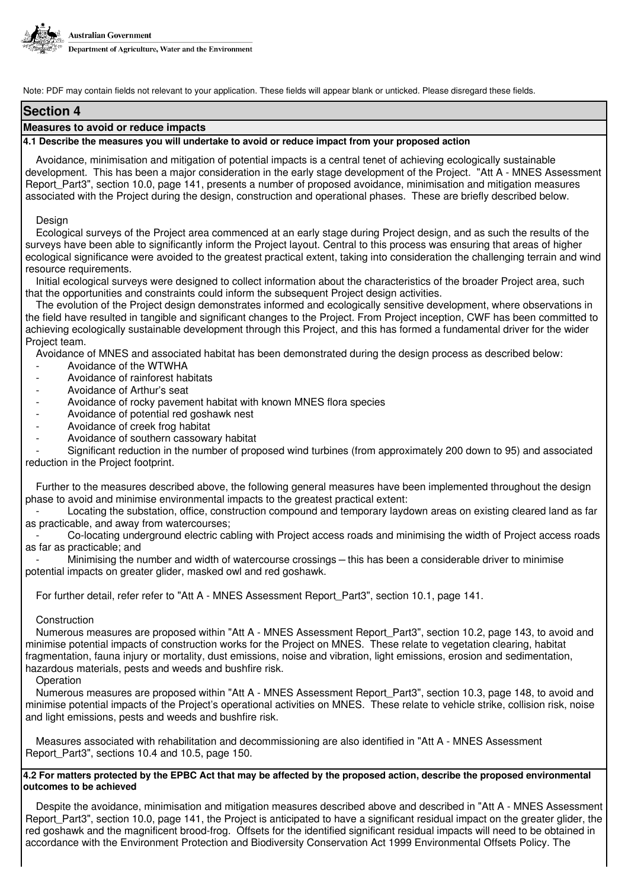

# **Section 4**

# **Measures to avoid or reduce impacts**

# **4.1 Describe the measures you will undertake to avoid or reduce impact from your proposed action**

Avoidance, minimisation and mitigation of potential impacts is a central tenet of achieving ecologically sustainable development. This has been a major consideration in the early stage development of the Project. "Att A - MNES Assessment Report\_Part3", section 10.0, page 141, presents a number of proposed avoidance, minimisation and mitigation measures associated with the Project during the design, construction and operational phases. These are briefly described below.

#### Design

Ecological surveys of the Project area commenced at an early stage during Project design, and as such the results of the surveys have been able to significantly inform the Project layout. Central to this process was ensuring that areas of higher ecological significance were avoided to the greatest practical extent, taking into consideration the challenging terrain and wind resource requirements.

Initial ecological surveys were designed to collect information about the characteristics of the broader Project area, such that the opportunities and constraints could inform the subsequent Project design activities.

The evolution of the Project design demonstrates informed and ecologically sensitive development, where observations in the field have resulted in tangible and significant changes to the Project. From Project inception, CWF has been committed to achieving ecologically sustainable development through this Project, and this has formed a fundamental driver for the wider Project team.

Avoidance of MNES and associated habitat has been demonstrated during the design process as described below:

- Avoidance of the WTWHA
- Avoidance of rainforest habitats
- Avoidance of Arthur's seat
- Avoidance of rocky pavement habitat with known MNES flora species
- Avoidance of potential red goshawk nest
- Avoidance of creek frog habitat
- Avoidance of southern cassowary habitat

- Significant reduction in the number of proposed wind turbines (from approximately 200 down to 95) and associated reduction in the Project footprint.

Further to the measures described above, the following general measures have been implemented throughout the design phase to avoid and minimise environmental impacts to the greatest practical extent:

Locating the substation, office, construction compound and temporary laydown areas on existing cleared land as far as practicable, and away from watercourses;

- Co-locating underground electric cabling with Project access roads and minimising the width of Project access roads as far as practicable; and

Minimising the number and width of watercourse crossings – this has been a considerable driver to minimise potential impacts on greater glider, masked owl and red goshawk.

For further detail, refer refer to "Att A - MNES Assessment Report Part3", section 10.1, page 141.

# Construction

Numerous measures are proposed within "Att A - MNES Assessment Report\_Part3", section 10.2, page 143, to avoid and minimise potential impacts of construction works for the Project on MNES. These relate to vegetation clearing, habitat fragmentation, fauna injury or mortality, dust emissions, noise and vibration, light emissions, erosion and sedimentation, hazardous materials, pests and weeds and bushfire risk.

# **Operation**

Numerous measures are proposed within "Att A - MNES Assessment Report\_Part3", section 10.3, page 148, to avoid and minimise potential impacts of the Project's operational activities on MNES. These relate to vehicle strike, collision risk, noise and light emissions, pests and weeds and bushfire risk.

Measures associated with rehabilitation and decommissioning are also identified in "Att A - MNES Assessment Report\_Part3", sections 10.4 and 10.5, page 150.

# **4.2 For matters protected by the EPBC Act that may be affected by the proposed action, describe the proposed environmental outcomes to be achieved**

Despite the avoidance, minimisation and mitigation measures described above and described in "Att A - MNES Assessment Report Part3", section 10.0, page 141, the Project is anticipated to have a significant residual impact on the greater glider, the red goshawk and the magnificent brood-frog. Offsets for the identified significant residual impacts will need to be obtained in accordance with the Environment Protection and Biodiversity Conservation Act 1999 Environmental Offsets Policy. The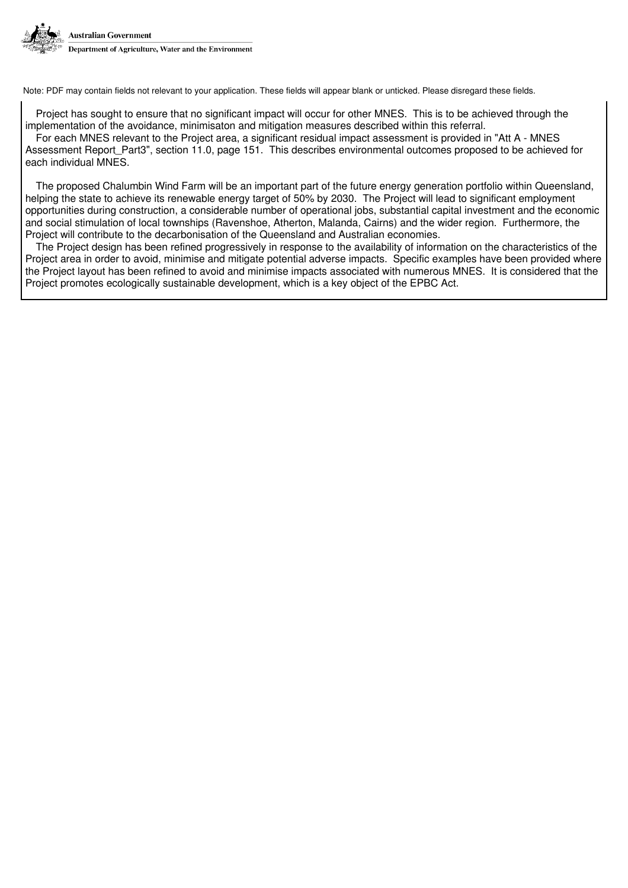

Project has sought to ensure that no significant impact will occur for other MNES. This is to be achieved through the implementation of the avoidance, minimisaton and mitigation measures described within this referral.

For each MNES relevant to the Project area, a significant residual impact assessment is provided in "Att A - MNES Assessment Report Part3", section 11.0, page 151. This describes environmental outcomes proposed to be achieved for each individual MNES.

The proposed Chalumbin Wind Farm will be an important part of the future energy generation portfolio within Queensland, helping the state to achieve its renewable energy target of 50% by 2030. The Project will lead to significant employment opportunities during construction, a considerable number of operational jobs, substantial capital investment and the economic and social stimulation of local townships (Ravenshoe, Atherton, Malanda, Cairns) and the wider region. Furthermore, the Project will contribute to the decarbonisation of the Queensland and Australian economies.

The Project design has been refined progressively in response to the availability of information on the characteristics of the Project area in order to avoid, minimise and mitigate potential adverse impacts. Specific examples have been provided where the Project layout has been refined to avoid and minimise impacts associated with numerous MNES. It is considered that the Project promotes ecologically sustainable development, which is a key object of the EPBC Act.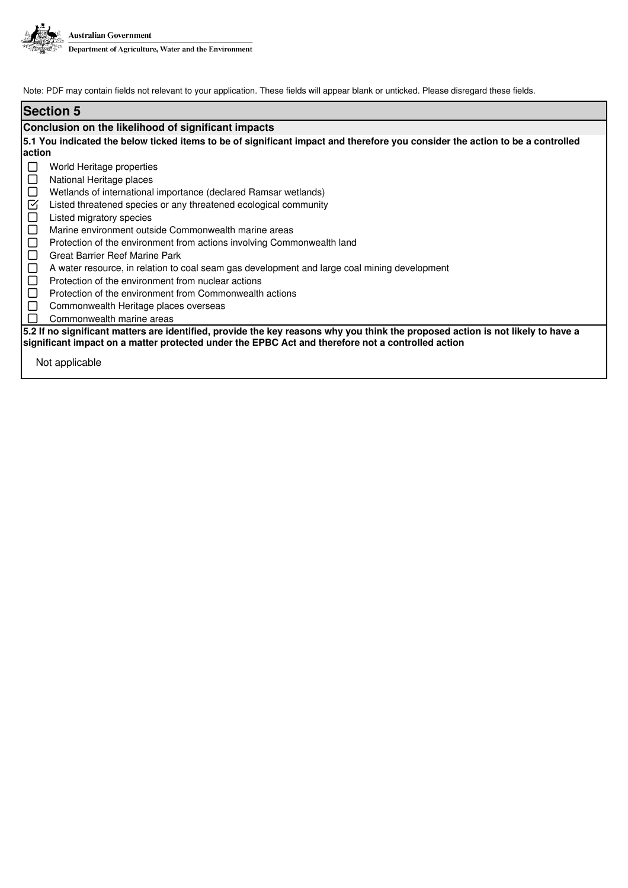

| <b>Section 5</b>                                                                                                                                                                                                                     |  |  |  |  |
|--------------------------------------------------------------------------------------------------------------------------------------------------------------------------------------------------------------------------------------|--|--|--|--|
| Conclusion on the likelihood of significant impacts                                                                                                                                                                                  |  |  |  |  |
| 5.1 You indicated the below ticked items to be of significant impact and therefore you consider the action to be a controlled                                                                                                        |  |  |  |  |
| action                                                                                                                                                                                                                               |  |  |  |  |
| World Heritage properties                                                                                                                                                                                                            |  |  |  |  |
| ⊔<br>National Heritage places                                                                                                                                                                                                        |  |  |  |  |
| Wetlands of international importance (declared Ramsar wetlands)<br>$\Box$                                                                                                                                                            |  |  |  |  |
| ☑<br>Listed threatened species or any threatened ecological community                                                                                                                                                                |  |  |  |  |
| $\sqcup$<br>Listed migratory species                                                                                                                                                                                                 |  |  |  |  |
| $\Box$<br>Marine environment outside Commonwealth marine areas                                                                                                                                                                       |  |  |  |  |
| $\Box$<br>Protection of the environment from actions involving Commonwealth land                                                                                                                                                     |  |  |  |  |
| $\Box$<br>Great Barrier Reef Marine Park                                                                                                                                                                                             |  |  |  |  |
| ⊔<br>A water resource, in relation to coal seam gas development and large coal mining development                                                                                                                                    |  |  |  |  |
| Protection of the environment from nuclear actions<br>$\Box$                                                                                                                                                                         |  |  |  |  |
| Protection of the environment from Commonwealth actions<br>$\perp$                                                                                                                                                                   |  |  |  |  |
| Commonwealth Heritage places overseas<br>U                                                                                                                                                                                           |  |  |  |  |
| Commonwealth marine areas                                                                                                                                                                                                            |  |  |  |  |
| 5.2 If no significant matters are identified, provide the key reasons why you think the proposed action is not likely to have a<br>significant impact on a matter protected under the EPBC Act and therefore not a controlled action |  |  |  |  |
| Not applicable                                                                                                                                                                                                                       |  |  |  |  |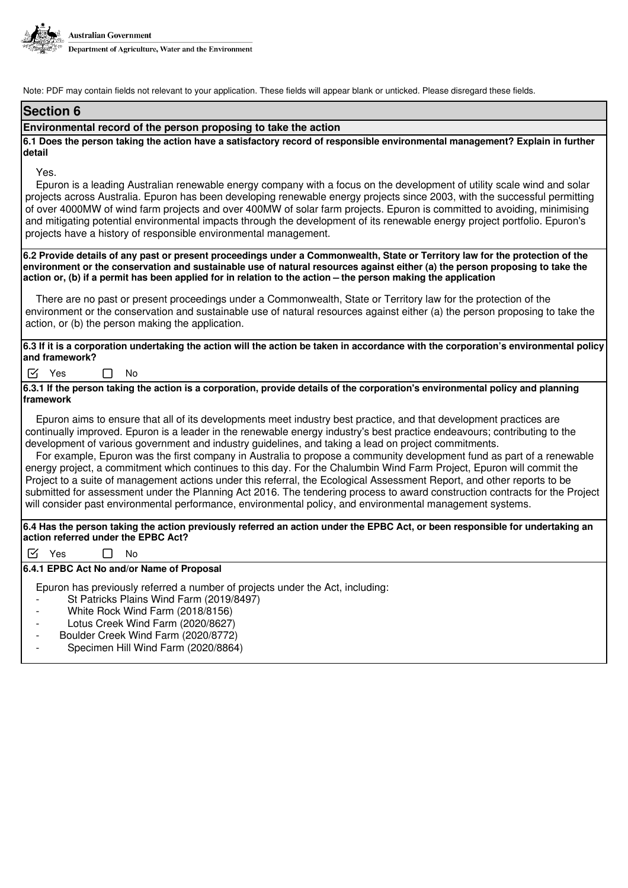

# **Section 6**

#### **Environmental record of the person proposing to take the action**

**6.1 Does the person taking the action have a satisfactory record of responsible environmental management? Explain in further detail**

# Yes.

Epuron is a leading Australian renewable energy company with a focus on the development of utility scale wind and solar projects across Australia. Epuron has been developing renewable energy projects since 2003, with the successful permitting of over 4000MW of wind farm projects and over 400MW of solar farm projects. Epuron is committed to avoiding, minimising and mitigating potential environmental impacts through the development of its renewable energy project portfolio. Epuron's projects have a history of responsible environmental management.

**6.2 Provide details of any past or present proceedings under a Commonwealth, State or Territory law for the protection of the environment or the conservation and sustainable use of natural resources against either (a) the person proposing to take the action or, (b) if a permit has been applied for in relation to the action – the person making the application**

There are no past or present proceedings under a Commonwealth, State or Territory law for the protection of the environment or the conservation and sustainable use of natural resources against either (a) the person proposing to take the action, or (b) the person making the application.

**6.3 If it is a corporation undertaking the action will the action be taken in accordance with the corporation's environmental policy and framework?**

 $\triangledown$  Yes  $\square$  No

**6.3.1 If the person taking the action is a corporation, provide details of the corporation's environmental policy and planning framework**

Epuron aims to ensure that all of its developments meet industry best practice, and that development practices are continually improved. Epuron is a leader in the renewable energy industry's best practice endeavours; contributing to the development of various government and industry guidelines, and taking a lead on project commitments.

For example, Epuron was the first company in Australia to propose a community development fund as part of a renewable energy project, a commitment which continues to this day. For the Chalumbin Wind Farm Project, Epuron will commit the Project to a suite of management actions under this referral, the Ecological Assessment Report, and other reports to be submitted for assessment under the Planning Act 2016. The tendering process to award construction contracts for the Project will consider past environmental performance, environmental policy, and environmental management systems.

**6.4 Has the person taking the action previously referred an action under the EPBC Act, or been responsible for undertaking an action referred under the EPBC Act?**

 $\triangledown$  Yes  $\square$  No

**6.4.1 EPBC Act No and/or Name of Proposal**

Epuron has previously referred a number of projects under the Act, including:

- St Patricks Plains Wind Farm (2019/8497)
- White Rock Wind Farm (2018/8156)
- Lotus Creek Wind Farm (2020/8627)
- Boulder Creek Wind Farm (2020/8772)
- Specimen Hill Wind Farm (2020/8864)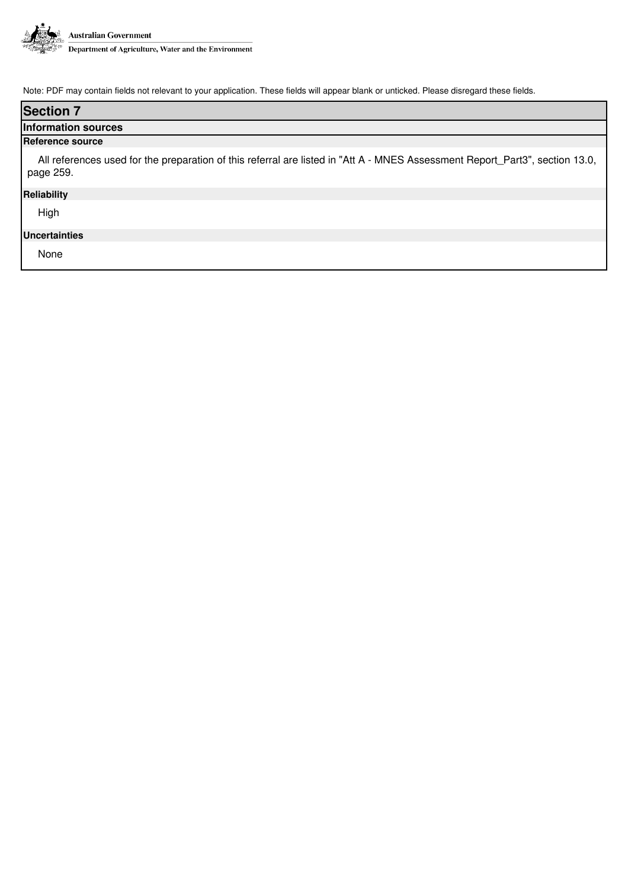

| <b>Section 7</b>                                                                                                                          |  |  |  |
|-------------------------------------------------------------------------------------------------------------------------------------------|--|--|--|
| <b>Information sources</b>                                                                                                                |  |  |  |
| Reference source                                                                                                                          |  |  |  |
| All references used for the preparation of this referral are listed in "Att A - MNES Assessment Report_Part3", section 13.0,<br>page 259. |  |  |  |
| <b>Reliability</b>                                                                                                                        |  |  |  |
| High                                                                                                                                      |  |  |  |
| <b>Uncertainties</b>                                                                                                                      |  |  |  |
| None                                                                                                                                      |  |  |  |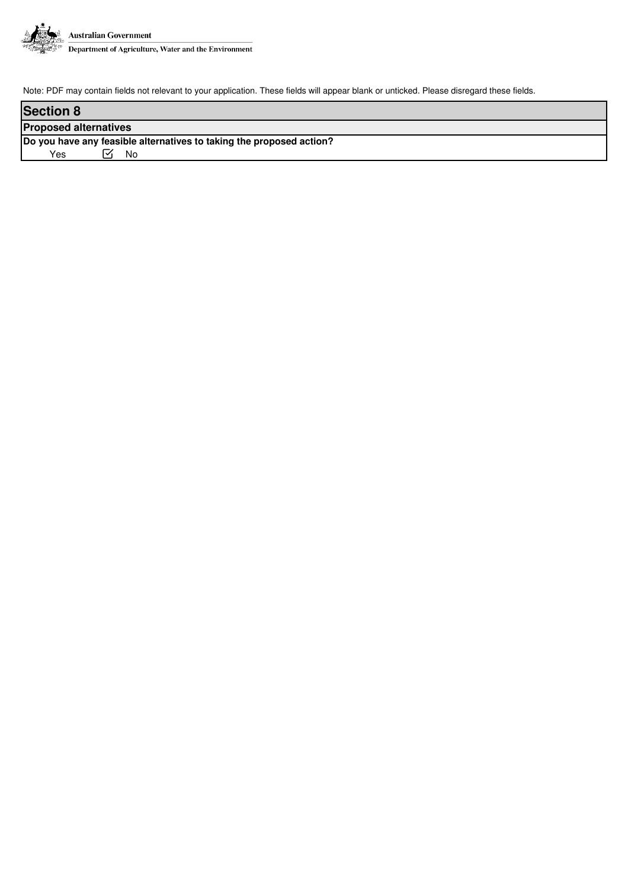

| <b>Section 8</b>                                                     |  |  |  |  |
|----------------------------------------------------------------------|--|--|--|--|
| <b>Proposed alternatives</b>                                         |  |  |  |  |
| Do you have any feasible alternatives to taking the proposed action? |  |  |  |  |
| Yes<br>No                                                            |  |  |  |  |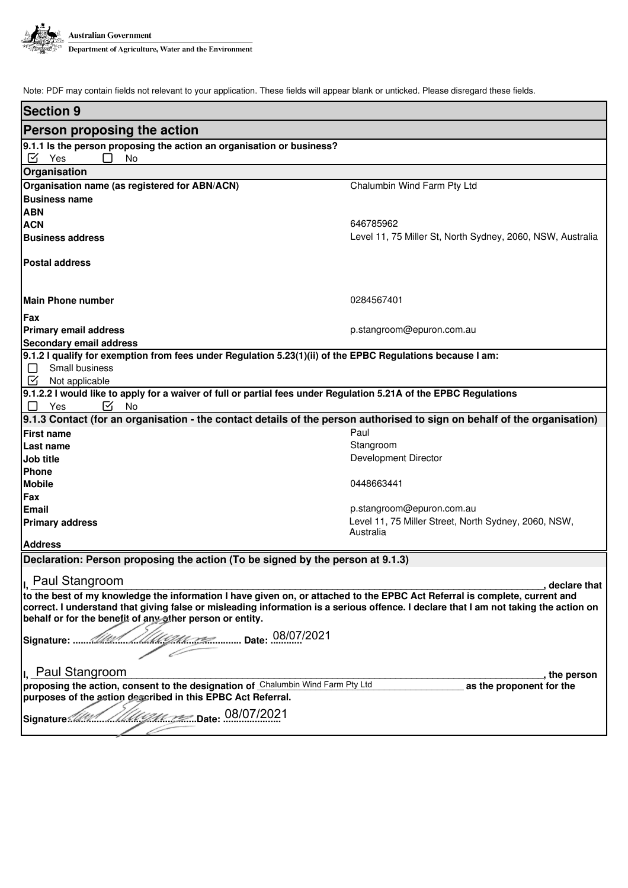

| <b>Section 9</b>                                                                                                                                                                                                                                                                                                               |                                                            |  |  |  |
|--------------------------------------------------------------------------------------------------------------------------------------------------------------------------------------------------------------------------------------------------------------------------------------------------------------------------------|------------------------------------------------------------|--|--|--|
| Person proposing the action                                                                                                                                                                                                                                                                                                    |                                                            |  |  |  |
| 9.1.1 Is the person proposing the action an organisation or business?                                                                                                                                                                                                                                                          |                                                            |  |  |  |
| ☑<br>Yes<br><b>No</b>                                                                                                                                                                                                                                                                                                          |                                                            |  |  |  |
| Organisation                                                                                                                                                                                                                                                                                                                   |                                                            |  |  |  |
| Organisation name (as registered for ABN/ACN)                                                                                                                                                                                                                                                                                  | Chalumbin Wind Farm Pty Ltd                                |  |  |  |
| <b>Business name</b>                                                                                                                                                                                                                                                                                                           |                                                            |  |  |  |
| <b>ABN</b>                                                                                                                                                                                                                                                                                                                     |                                                            |  |  |  |
| <b>ACN</b>                                                                                                                                                                                                                                                                                                                     | 646785962                                                  |  |  |  |
| <b>Business address</b>                                                                                                                                                                                                                                                                                                        | Level 11, 75 Miller St, North Sydney, 2060, NSW, Australia |  |  |  |
| <b>Postal address</b>                                                                                                                                                                                                                                                                                                          |                                                            |  |  |  |
| Main Phone number                                                                                                                                                                                                                                                                                                              | 0284567401                                                 |  |  |  |
| <b>IFax</b>                                                                                                                                                                                                                                                                                                                    |                                                            |  |  |  |
| <b>Primary email address</b>                                                                                                                                                                                                                                                                                                   | p.stangroom@epuron.com.au                                  |  |  |  |
| <b>Secondary email address</b>                                                                                                                                                                                                                                                                                                 |                                                            |  |  |  |
| 9.1.2 I qualify for exemption from fees under Regulation 5.23(1)(ii) of the EPBC Regulations because I am:                                                                                                                                                                                                                     |                                                            |  |  |  |
| Small business<br>$\Box$                                                                                                                                                                                                                                                                                                       |                                                            |  |  |  |
| ☑<br>Not applicable                                                                                                                                                                                                                                                                                                            |                                                            |  |  |  |
| 9.1.2.2 I would like to apply for a waiver of full or partial fees under Regulation 5.21A of the EPBC Regulations<br>Yes<br>⊺∡<br>No.                                                                                                                                                                                          |                                                            |  |  |  |
| 9.1.3 Contact (for an organisation - the contact details of the person authorised to sign on behalf of the organisation)                                                                                                                                                                                                       |                                                            |  |  |  |
| <b>First name</b>                                                                                                                                                                                                                                                                                                              | Paul                                                       |  |  |  |
| Last name                                                                                                                                                                                                                                                                                                                      | Stangroom                                                  |  |  |  |
| Job title                                                                                                                                                                                                                                                                                                                      | Development Director                                       |  |  |  |
| <b>Phone</b>                                                                                                                                                                                                                                                                                                                   |                                                            |  |  |  |
| <b>Mobile</b>                                                                                                                                                                                                                                                                                                                  | 0448663441                                                 |  |  |  |
| Fax                                                                                                                                                                                                                                                                                                                            |                                                            |  |  |  |
| Email                                                                                                                                                                                                                                                                                                                          | p.stangroom@epuron.com.au                                  |  |  |  |
| <b>Primary address</b>                                                                                                                                                                                                                                                                                                         | Level 11, 75 Miller Street, North Sydney, 2060, NSW,       |  |  |  |
|                                                                                                                                                                                                                                                                                                                                | Australia                                                  |  |  |  |
| <b>Address</b>                                                                                                                                                                                                                                                                                                                 |                                                            |  |  |  |
| Declaration: Person proposing the action (To be signed by the person at 9.1.3)                                                                                                                                                                                                                                                 |                                                            |  |  |  |
| Paul Stangroom                                                                                                                                                                                                                                                                                                                 | , declare that                                             |  |  |  |
| to the best of my knowledge the information I have given on, or attached to the EPBC Act Referral is complete, current and<br>correct. I understand that giving false or misleading information is a serious offence. I declare that I am not taking the action on<br>behalf or for the benefit of any other person or entity. |                                                            |  |  |  |
|                                                                                                                                                                                                                                                                                                                                |                                                            |  |  |  |
| I <sub>I.</sub> Paul Stangroom                                                                                                                                                                                                                                                                                                 | , the person                                               |  |  |  |
| proposing the action, consent to the designation of Chalumbin Wind Farm Pty Ltd<br>as the proponent for the                                                                                                                                                                                                                    |                                                            |  |  |  |
| purposes of the action described in this EPBC Act Referral.                                                                                                                                                                                                                                                                    |                                                            |  |  |  |
|                                                                                                                                                                                                                                                                                                                                |                                                            |  |  |  |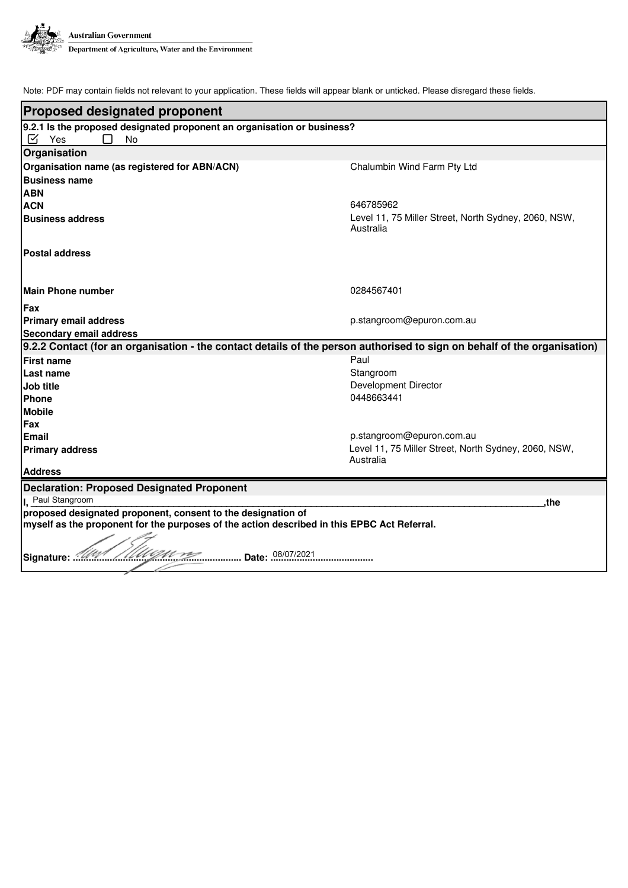

| <b>Proposed designated proponent</b>                                                                                                                        |                                                                   |  |  |  |  |
|-------------------------------------------------------------------------------------------------------------------------------------------------------------|-------------------------------------------------------------------|--|--|--|--|
| 9.2.1 Is the proposed designated proponent an organisation or business?                                                                                     |                                                                   |  |  |  |  |
| Yes<br>☑<br><b>No</b>                                                                                                                                       |                                                                   |  |  |  |  |
| Organisation                                                                                                                                                |                                                                   |  |  |  |  |
| Organisation name (as registered for ABN/ACN)                                                                                                               | Chalumbin Wind Farm Pty Ltd                                       |  |  |  |  |
| <b>Business name</b>                                                                                                                                        |                                                                   |  |  |  |  |
| <b>ABN</b>                                                                                                                                                  |                                                                   |  |  |  |  |
| <b>ACN</b>                                                                                                                                                  | 646785962                                                         |  |  |  |  |
| <b>Business address</b>                                                                                                                                     | Level 11, 75 Miller Street, North Sydney, 2060, NSW,<br>Australia |  |  |  |  |
| <b>Postal address</b>                                                                                                                                       |                                                                   |  |  |  |  |
| Main Phone number                                                                                                                                           | 0284567401                                                        |  |  |  |  |
| <b>Fax</b>                                                                                                                                                  |                                                                   |  |  |  |  |
| <b>Primary email address</b>                                                                                                                                | p.stangroom@epuron.com.au                                         |  |  |  |  |
| <b>Secondary email address</b>                                                                                                                              |                                                                   |  |  |  |  |
| 9.2.2 Contact (for an organisation - the contact details of the person authorised to sign on behalf of the organisation)                                    |                                                                   |  |  |  |  |
| <b>First name</b>                                                                                                                                           | Paul                                                              |  |  |  |  |
| <b>Last name</b>                                                                                                                                            | Stangroom                                                         |  |  |  |  |
| Job title                                                                                                                                                   | Development Director                                              |  |  |  |  |
| <b>Phone</b>                                                                                                                                                | 0448663441                                                        |  |  |  |  |
| <b>Mobile</b>                                                                                                                                               |                                                                   |  |  |  |  |
| <b>Fax</b>                                                                                                                                                  |                                                                   |  |  |  |  |
| Email                                                                                                                                                       | p.stangroom@epuron.com.au                                         |  |  |  |  |
| <b>Primary address</b>                                                                                                                                      | Level 11, 75 Miller Street, North Sydney, 2060, NSW,              |  |  |  |  |
|                                                                                                                                                             | Australia                                                         |  |  |  |  |
| <b>Address</b>                                                                                                                                              |                                                                   |  |  |  |  |
| <b>Declaration: Proposed Designated Proponent</b>                                                                                                           |                                                                   |  |  |  |  |
| Paul Stangroom<br>.the                                                                                                                                      |                                                                   |  |  |  |  |
| proposed designated proponent, consent to the designation of<br>myself as the proponent for the purposes of the action described in this EPBC Act Referral. |                                                                   |  |  |  |  |
| Signature:                                                                                                                                                  |                                                                   |  |  |  |  |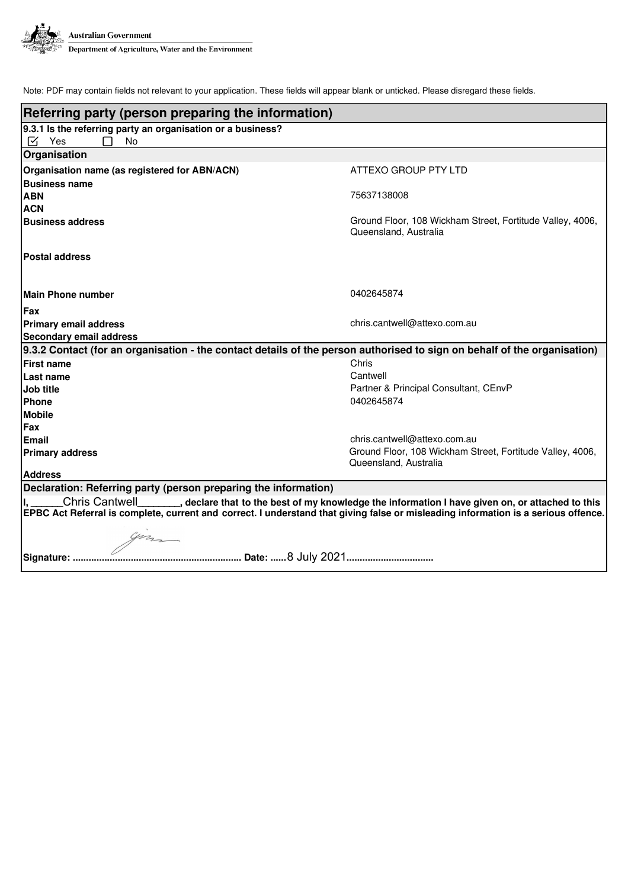

| Referring party (person preparing the information)                                                                                 |                                                                                    |  |  |  |
|------------------------------------------------------------------------------------------------------------------------------------|------------------------------------------------------------------------------------|--|--|--|
| 9.3.1 Is the referring party an organisation or a business?                                                                        |                                                                                    |  |  |  |
| ⊠<br>Yes<br><b>No</b>                                                                                                              |                                                                                    |  |  |  |
| Organisation                                                                                                                       |                                                                                    |  |  |  |
| Organisation name (as registered for ABN/ACN)                                                                                      | ATTEXO GROUP PTY LTD                                                               |  |  |  |
| <b>Business name</b>                                                                                                               |                                                                                    |  |  |  |
| <b>ABN</b>                                                                                                                         | 75637138008                                                                        |  |  |  |
| <b>ACN</b>                                                                                                                         |                                                                                    |  |  |  |
| <b>Business address</b>                                                                                                            | Ground Floor, 108 Wickham Street, Fortitude Valley, 4006,<br>Queensland, Australia |  |  |  |
| <b>Postal address</b>                                                                                                              |                                                                                    |  |  |  |
| Main Phone number                                                                                                                  | 0402645874                                                                         |  |  |  |
| <b>Fax</b>                                                                                                                         |                                                                                    |  |  |  |
| <b>Primary email address</b>                                                                                                       | chris.cantwell@attexo.com.au                                                       |  |  |  |
| <b>Secondary email address</b>                                                                                                     |                                                                                    |  |  |  |
| 9.3.2 Contact (for an organisation - the contact details of the person authorised to sign on behalf of the organisation)           |                                                                                    |  |  |  |
| <b>First name</b>                                                                                                                  | Chris                                                                              |  |  |  |
| Last name                                                                                                                          | Cantwell<br>Partner & Principal Consultant, CEnvP                                  |  |  |  |
| Job title<br><b>Phone</b>                                                                                                          | 0402645874                                                                         |  |  |  |
| <b>Mobile</b>                                                                                                                      |                                                                                    |  |  |  |
| <b>Fax</b>                                                                                                                         |                                                                                    |  |  |  |
| <b>Email</b>                                                                                                                       | chris.cantwell@attexo.com.au                                                       |  |  |  |
| <b>Primary address</b>                                                                                                             | Ground Floor, 108 Wickham Street, Fortitude Valley, 4006,<br>Queensland, Australia |  |  |  |
| <b>Address</b>                                                                                                                     |                                                                                    |  |  |  |
| Declaration: Referring party (person preparing the information)                                                                    |                                                                                    |  |  |  |
| Chris Cantwell________, declare that to the best of my knowledge the information I have given on, or attached to this              |                                                                                    |  |  |  |
| EPBC Act Referral is complete, current and correct. I understand that giving false or misleading information is a serious offence. |                                                                                    |  |  |  |
|                                                                                                                                    |                                                                                    |  |  |  |
|                                                                                                                                    |                                                                                    |  |  |  |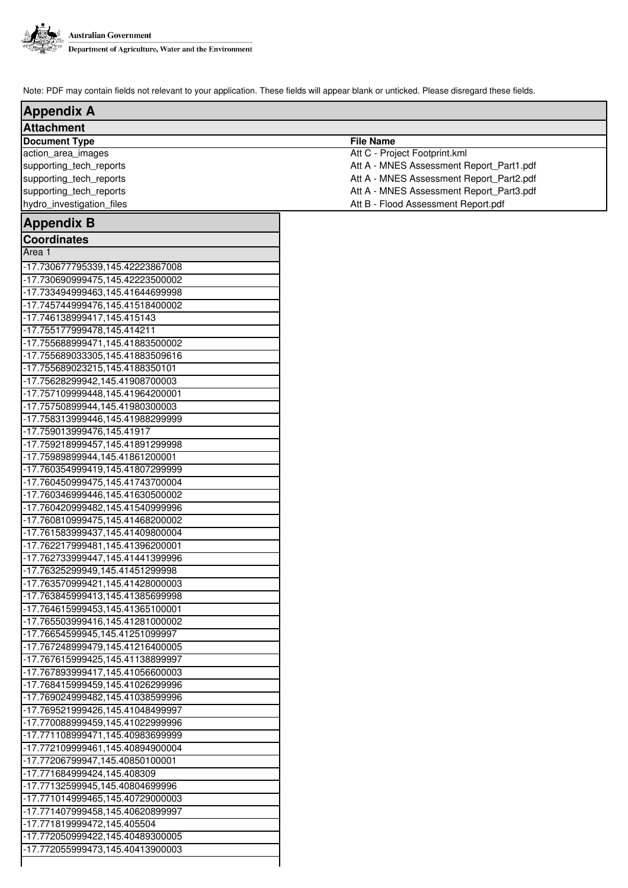

Г

| <b>Appendix A</b>                |                                          |  |  |  |
|----------------------------------|------------------------------------------|--|--|--|
| <b>Attachment</b>                |                                          |  |  |  |
| <b>Document Type</b>             | <b>File Name</b>                         |  |  |  |
| action_area_images               | Att C - Project Footprint.kml            |  |  |  |
| supporting_tech_reports          | Att A - MNES Assessment Report_Part1.pdf |  |  |  |
| supporting_tech_reports          | Att A - MNES Assessment Report_Part2.pdf |  |  |  |
| supporting_tech_reports          | Att A - MNES Assessment Report_Part3.pdf |  |  |  |
| hydro_investigation_files        | Att B - Flood Assessment Report.pdf      |  |  |  |
| <b>Appendix B</b>                |                                          |  |  |  |
| <b>Coordinates</b>               |                                          |  |  |  |
| Area <sub>1</sub>                |                                          |  |  |  |
| -17.730677795339,145.42223867008 |                                          |  |  |  |
| -17.730690999475,145.42223500002 |                                          |  |  |  |
| -17.733494999463,145.41644699998 |                                          |  |  |  |
| -17.745744999476,145.41518400002 |                                          |  |  |  |
| -17.746138999417,145.415143      |                                          |  |  |  |
| -17.755177999478,145.414211      |                                          |  |  |  |
| -17.755688999471,145.41883500002 |                                          |  |  |  |
| -17.755689033305,145.41883509616 |                                          |  |  |  |
| -17.755689023215,145.4188350101  |                                          |  |  |  |
| -17.75628299942,145.41908700003  |                                          |  |  |  |
| -17.757109999448,145.41964200001 |                                          |  |  |  |
| -17.75750899944,145.41980300003  |                                          |  |  |  |
| -17.758313999446,145.41988299999 |                                          |  |  |  |
| -17.759013999476,145.41917       |                                          |  |  |  |
| -17.759218999457,145.41891299998 |                                          |  |  |  |
| -17.75989899944,145.41861200001  |                                          |  |  |  |
| -17.760354999419,145.41807299999 |                                          |  |  |  |
| -17.760450999475,145.41743700004 |                                          |  |  |  |
| -17.760346999446,145.41630500002 |                                          |  |  |  |
| -17.760420999482,145.41540999996 |                                          |  |  |  |
| -17.760810999475,145.41468200002 |                                          |  |  |  |
| -17.761583999437,145.41409800004 |                                          |  |  |  |
| -17.762217999481,145.41396200001 |                                          |  |  |  |
| -17.762733999447,145.41441399996 |                                          |  |  |  |
| -17.76325299949,145.41451299998  |                                          |  |  |  |
| -17.763570999421,145.41428000003 |                                          |  |  |  |
| -17.763845999413,145.41385699998 |                                          |  |  |  |
| -17.764615999453,145.41365100001 |                                          |  |  |  |
| -17.765503999416,145.41281000002 |                                          |  |  |  |
| -17.76654599945,145.41251099997  |                                          |  |  |  |
| -17.767248999479,145.41216400005 |                                          |  |  |  |
| -17.767615999425,145.41138899997 |                                          |  |  |  |
| -17.767893999417,145.41056600003 |                                          |  |  |  |
| -17.768415999459,145.41026299996 |                                          |  |  |  |
| -17.769024999482,145.41038599996 |                                          |  |  |  |
| -17.769521999426,145.41048499997 |                                          |  |  |  |
| -17.770088999459,145.41022999996 |                                          |  |  |  |
| -17.771108999471,145.40983699999 |                                          |  |  |  |
| -17.772109999461,145.40894900004 |                                          |  |  |  |
| -17.77206799947,145.40850100001  |                                          |  |  |  |
| -17.771684999424,145.408309      |                                          |  |  |  |
| -17.77132599945,145.40804699996  |                                          |  |  |  |
| -17.771014999465,145.40729000003 |                                          |  |  |  |
| -17.771407999458,145.40620899997 |                                          |  |  |  |
| -17.771819999472,145.405504      |                                          |  |  |  |
| -17.772050999422,145.40489300005 |                                          |  |  |  |
| -17.772055999473,145.40413900003 |                                          |  |  |  |
|                                  |                                          |  |  |  |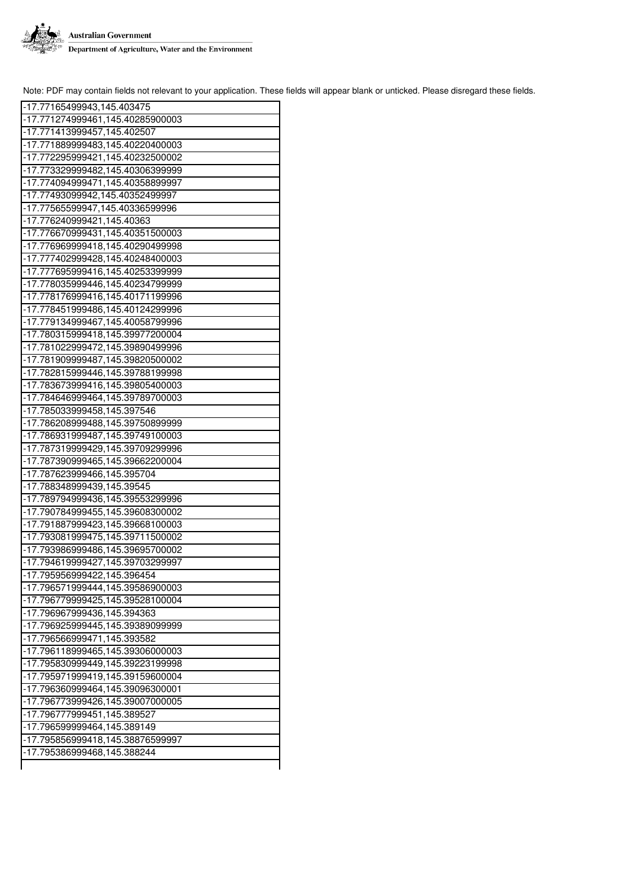

| -17.77165499943,145.403475       |
|----------------------------------|
| -17.771274999461,145.40285900003 |
| -17.771413999457,145.402507      |
| -17.771889999483,145.40220400003 |
| -17.772295999421,145.40232500002 |
| -17.773329999482,145.40306399999 |
| -17.774094999471,145.40358899997 |
| -17.77493099942,145.40352499997  |
| -17.77565599947,145.40336599996  |
| -17.776240999421,145.40363       |
| -17.776670999431,145.40351500003 |
| -17.776969999418,145.40290499998 |
| -17.777402999428,145.40248400003 |
| -17.777695999416,145.40253399999 |
| -17.778035999446,145.40234799999 |
| -17.778176999416,145.40171199996 |
| -17.778451999486,145.40124299996 |
| -17.779134999467,145.40058799996 |
| -17.780315999418,145.39977200004 |
| -17.781022999472,145.39890499996 |
| -17.781909999487,145.39820500002 |
| -17.782815999446,145.39788199998 |
| -17.783673999416,145.39805400003 |
| -17.784646999464,145.39789700003 |
| -17.785033999458,145.397546      |
| -17.786208999488,145.39750899999 |
| -17.786931999487,145.39749100003 |
| -17.787319999429,145.39709299996 |
| -17.787390999465,145.39662200004 |
| -17.787623999466,145.395704      |
| -17.788348999439,145.39545       |
| -17.789794999436,145.39553299996 |
| -17.790784999455,145.39608300002 |
| -17.791887999423,145.39668100003 |
| -17.793081999475,145.39711500002 |
| -17.793986999486,145.39695700002 |
| -17.794619999427,145.39703299997 |
| -17.795956999422,145.396454      |
| -17.796571999444,145.39586900003 |
| -17.796779999425,145.39528100004 |
| -17.796967999436,145.394363      |
| -17.796925999445,145.39389099999 |
| -17.796566999471,145.393582      |
| -17.796118999465,145.39306000003 |
| -17.795830999449,145.39223199998 |
| -17.795971999419,145.39159600004 |
| -17.796360999464,145.39096300001 |
| -17.796773999426,145.39007000005 |
| -17.796777999451,145.389527      |
| -17.796599999464,145.389149      |
| -17.795856999418,145.38876599997 |
| -17.795386999468,145.388244      |
|                                  |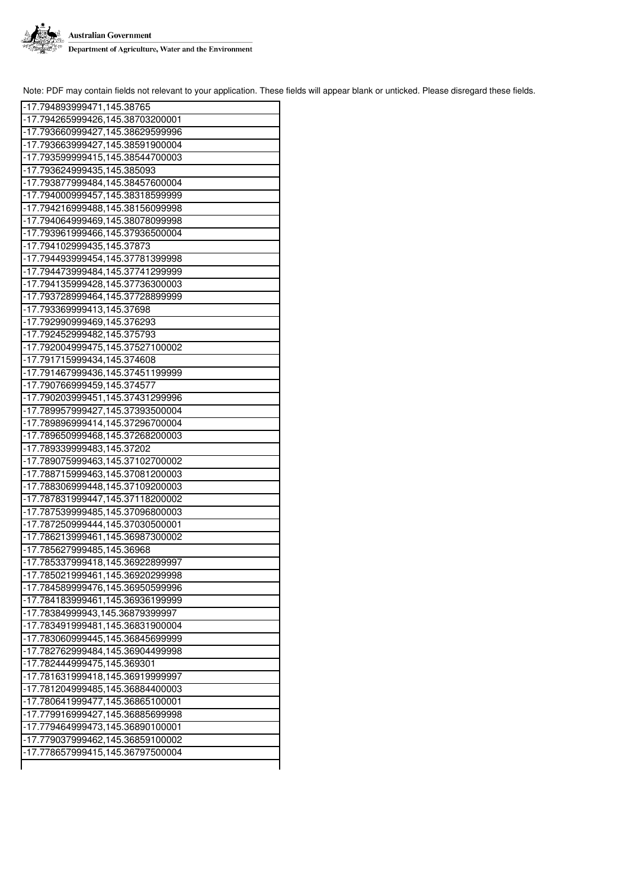

| -17.794893999471,145.38765       |
|----------------------------------|
| -17.794265999426,145.38703200001 |
| -17.793660999427,145.38629599996 |
| -17.793663999427,145.38591900004 |
| -17.793599999415,145.38544700003 |
| -17.793624999435,145.385093      |
| -17.793877999484,145.38457600004 |
| -17.794000999457,145.38318599999 |
| -17.794216999488,145.38156099998 |
| -17.794064999469,145.38078099998 |
| -17.793961999466,145.37936500004 |
| -17.794102999435,145.37873       |
| -17.794493999454,145.37781399998 |
| -17.794473999484,145.37741299999 |
| -17.794135999428,145.37736300003 |
| -17.793728999464,145.37728899999 |
| -17.793369999413,145.37698       |
| -17.792990999469,145.376293      |
| -17.792452999482,145.375793      |
| -17.792004999475,145.37527100002 |
| -17.791715999434,145.374608      |
| -17.791467999436,145.37451199999 |
| -17.790766999459,145.374577      |
| -17.790203999451,145.37431299996 |
| -17.789957999427,145.37393500004 |
| -17.789896999414,145.37296700004 |
| -17.789650999468,145.37268200003 |
| -17.789339999483,145.37202       |
| -17.789075999463,145.37102700002 |
| -17.788715999463,145.37081200003 |
| -17.788306999448,145.37109200003 |
| -17.787831999447,145.37118200002 |
| -17.787539999485,145.37096800003 |
| -17.787250999444,145.37030500001 |
| -17.786213999461,145.36987300002 |
| -17.785627999485,145.36968       |
| -17.785337999418,145.36922899997 |
| -17.785021999461,145.36920299998 |
| -17.784589999476,145.36950599996 |
| -17.784183999461,145.36936199999 |
| -17.78384999943,145.36879399997  |
| -17.783491999481,145.36831900004 |
| -17.783060999445,145.36845699999 |
| -17.782762999484,145.36904499998 |
| -17.782444999475,145.369301      |
| -17.781631999418,145.36919999997 |
| -17.781204999485,145.36884400003 |
| -17.780641999477,145.36865100001 |
| -17.779916999427,145.36885699998 |
| -17.779464999473,145.36890100001 |
| -17.779037999462,145.36859100002 |
| -17.778657999415,145.36797500004 |
|                                  |
|                                  |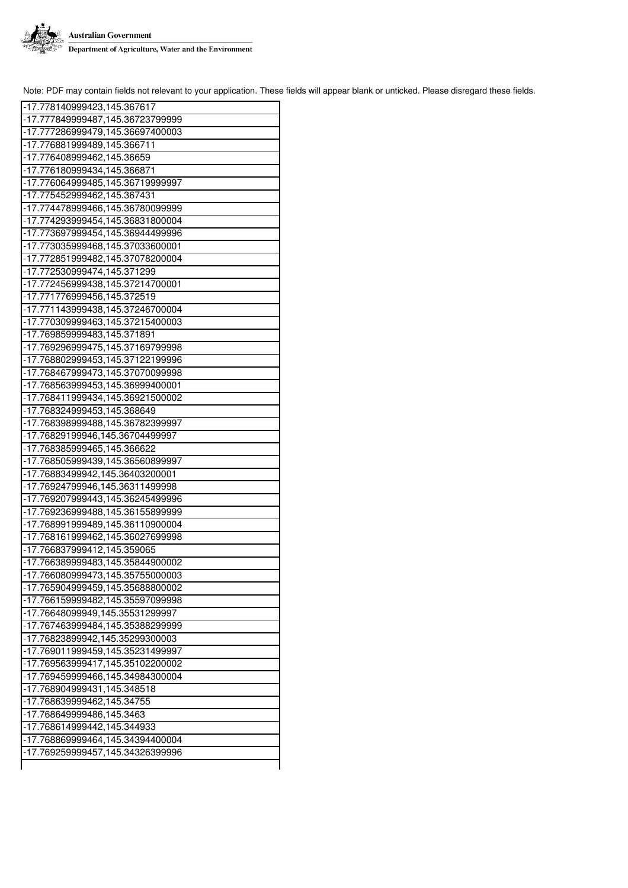

| -17.778140999423,145.367617      |
|----------------------------------|
| -17.777849999487,145.36723799999 |
| -17.777286999479,145.36697400003 |
| -17.776881999489,145.366711      |
| -17.776408999462,145.36659       |
| -17.776180999434,145.366871      |
| -17.776064999485,145.36719999997 |
| -17.775452999462,145.367431      |
| -17.774478999466,145.36780099999 |
| -17.774293999454,145.36831800004 |
| -17.773697999454,145.36944499996 |
| -17.773035999468,145.37033600001 |
| -17.772851999482,145.37078200004 |
| -17.772530999474,145.371299      |
| -17.772456999438,145.37214700001 |
| -17.771776999456,145.372519      |
| -17.771143999438,145.37246700004 |
| -17.770309999463,145.37215400003 |
| -17.769859999483,145.371891      |
| -17.769296999475,145.37169799998 |
| -17.768802999453,145.37122199996 |
| -17.768467999473,145.37070099998 |
| -17.768563999453,145.36999400001 |
| -17.768411999434,145.36921500002 |
| -17.768324999453,145.368649      |
|                                  |
| -17.768398999488,145.36782399997 |
| -17.76829199946,145.36704499997  |
|                                  |
| -17.768385999465,145.366622      |
| -17.768505999439,145.36560899997 |
| -17.76883499942,145.36403200001  |
| -17.76924799946,145.36311499998  |
| -17.769207999443,145.36245499996 |
| -17.769236999488,145.36155899999 |
| -17.768991999489,145.36110900004 |
| -17.768161999462,145.36027699998 |
| -17.766837999412,145.359065      |
| -17.766389999483,145.35844900002 |
| -17.766080999473,145.35755000003 |
| -17.765904999459,145.35688800002 |
| -17.766159999482,145.35597099998 |
| -17.76648099949,145.35531299997  |
| -17.767463999484,145.35388299999 |
| -17.76823899942,145.35299300003  |
| -17.769011999459,145.35231499997 |
| -17.769563999417,145.35102200002 |
| -17.769459999466,145.34984300004 |
| -17.768904999431,145.348518      |
| -17.768639999462,145.34755       |
| -17.768649999486,145.3463        |
| -17.768614999442,145.344933      |
| -17.768869999464,145.34394400004 |
| -17.769259999457,145.34326399996 |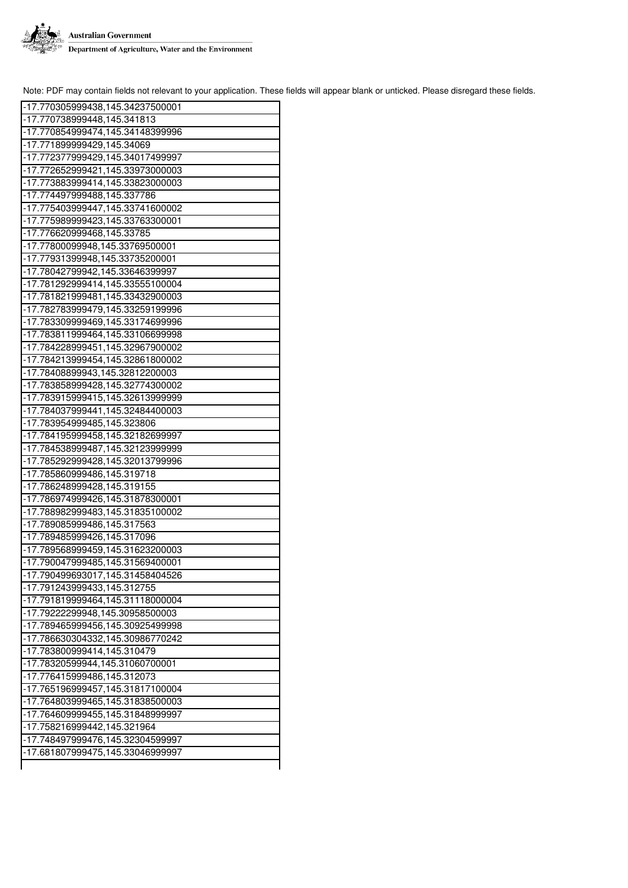

| -17.770305999438,145.34237500001 |
|----------------------------------|
| -17.770738999448,145.341813      |
| -17.770854999474,145.34148399996 |
| -17.771899999429,145.34069       |
| -17.772377999429,145.34017499997 |
| -17.772652999421,145.33973000003 |
| -17.773883999414,145.33823000003 |
| -17.774497999488,145.337786      |
| -17.775403999447,145.33741600002 |
|                                  |
| -17.775989999423,145.33763300001 |
| -17.776620999468,145.33785       |
| -17.77800099948,145.33769500001  |
| -17.77931399948,145.33735200001  |
| -17.78042799942,145.33646399997  |
| -17.781292999414,145.33555100004 |
| -17.781821999481,145.33432900003 |
| -17.782783999479,145.33259199996 |
| -17.783309999469,145.33174699996 |
| -17.783811999464,145.33106699998 |
| -17.784228999451,145.32967900002 |
| -17.784213999454,145.32861800002 |
| -17.78408899943,145.32812200003  |
| -17.783858999428,145.32774300002 |
| -17.783915999415,145.32613999999 |
| -17.784037999441,145.32484400003 |
| -17.783954999485,145.323806      |
| -17.784195999458,145.32182699997 |
| -17.784538999487,145.32123999999 |
| -17.785292999428,145.32013799996 |
|                                  |
| -17.785860999486,145.319718      |
| -17.786248999428,145.319155      |
| -17.786974999426,145.31878300001 |
| -17.788982999483,145.31835100002 |
| -17.789085999486,145.317563      |
| -17.789485999426,145.317096      |
| -17.789568999459,145.31623200003 |
| -17.790047999485,145.31569400001 |
| -17.790499693017,145.31458404526 |
| -17.791243999433,145.312755      |
| -17.791819999464,145.31118000004 |
| -17.79222299948,145.30958500003  |
| -17.789465999456,145.30925499998 |
| -17.786630304332,145.30986770242 |
| -17.783800999414,145.310479      |
| -17.78320599944,145.31060700001  |
| -17.776415999486,145.312073      |
| -17.765196999457,145.31817100004 |
| -17.764803999465,145.31838500003 |
| -17.764609999455,145.31848999997 |
| -17.758216999442,145.321964      |
| -17.748497999476,145.32304599997 |
| -17.681807999475,145.33046999997 |
|                                  |
|                                  |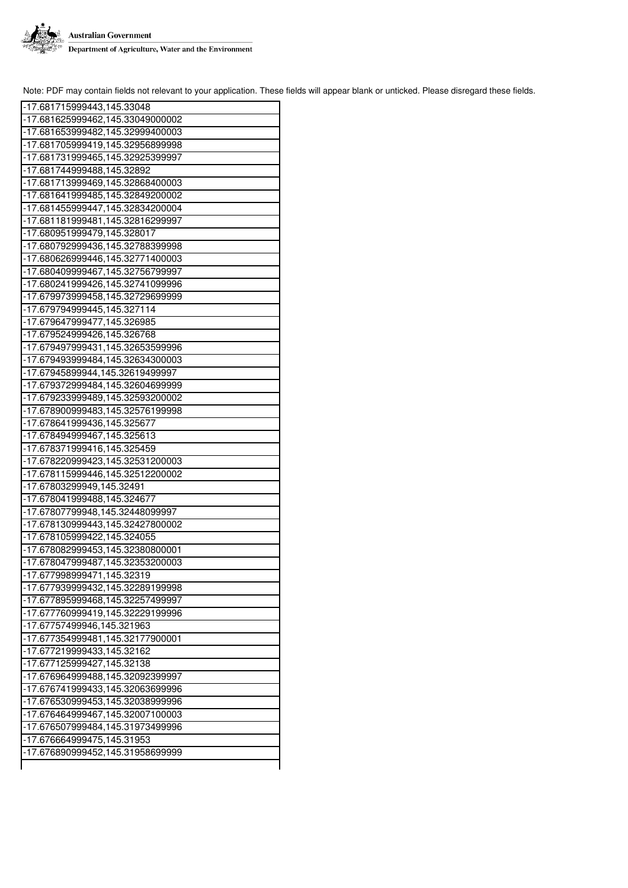

| -17.681715999443,145.33048                                                                                                                                                                                        |
|-------------------------------------------------------------------------------------------------------------------------------------------------------------------------------------------------------------------|
| -17.681625999462,145.33049000002                                                                                                                                                                                  |
| -17.681653999482,145.32999400003                                                                                                                                                                                  |
| -17.681705999419,145.32956899998                                                                                                                                                                                  |
| -17.681731999465,145.32925399997                                                                                                                                                                                  |
| -17.681744999488,145.32892                                                                                                                                                                                        |
| -17.681713999469,145.32868400003                                                                                                                                                                                  |
| -17.681641999485,145.32849200002                                                                                                                                                                                  |
| -17.681455999447,145.32834200004                                                                                                                                                                                  |
| -17.681181999481,145.32816299997                                                                                                                                                                                  |
| -17.680951999479,145.328017                                                                                                                                                                                       |
| -17.680792999436,145.32788399998                                                                                                                                                                                  |
| -17.680626999446,145.32771400003                                                                                                                                                                                  |
| -17.680409999467,145.32756799997                                                                                                                                                                                  |
| -17.680241999426,145.32741099996                                                                                                                                                                                  |
| -17.679973999458,145.32729699999                                                                                                                                                                                  |
| -17.679794999445,145.327114                                                                                                                                                                                       |
| -17.679647999477,145.326985                                                                                                                                                                                       |
| -17.679524999426,145.326768                                                                                                                                                                                       |
| -17.679497999431,145.32653599996                                                                                                                                                                                  |
| -17.679493999484,145.32634300003                                                                                                                                                                                  |
| -17.67945899944,145.32619499997                                                                                                                                                                                   |
| -17.679372999484,145.32604699999                                                                                                                                                                                  |
| -17.679233999489,145.32593200002                                                                                                                                                                                  |
|                                                                                                                                                                                                                   |
| -17.678900999483,145.32576199998                                                                                                                                                                                  |
| -17.678641999436,145.325677                                                                                                                                                                                       |
| -17.678494999467,145.325613                                                                                                                                                                                       |
| -17.678371999416,145.325459                                                                                                                                                                                       |
| -17.678220999423,145.32531200003                                                                                                                                                                                  |
| -17.678115999446,145.32512200002                                                                                                                                                                                  |
| -17.67803299949,145.32491                                                                                                                                                                                         |
| -17.678041999488,145.324677                                                                                                                                                                                       |
| -17.67807799948,145.32448099997                                                                                                                                                                                   |
| -17.678130999443,145.32427800002                                                                                                                                                                                  |
| -17.678105999422,145.324055                                                                                                                                                                                       |
| -17.678082999453,145.32380800001                                                                                                                                                                                  |
| -17.678047999487,145.32353200003                                                                                                                                                                                  |
| -17.677998999471,145.32319                                                                                                                                                                                        |
| -17.677939999432,145.32289199998                                                                                                                                                                                  |
| -17.677895999468,145.32257499997                                                                                                                                                                                  |
| -17.677760999419,145.32229199996                                                                                                                                                                                  |
| -17.67757499946,145.321963                                                                                                                                                                                        |
| -17.677354999481,145.32177900001                                                                                                                                                                                  |
| -17.677219999433,145.32162                                                                                                                                                                                        |
| -17.677125999427,145.32138                                                                                                                                                                                        |
| -17.676964999488.145.32092399997                                                                                                                                                                                  |
|                                                                                                                                                                                                                   |
|                                                                                                                                                                                                                   |
|                                                                                                                                                                                                                   |
|                                                                                                                                                                                                                   |
|                                                                                                                                                                                                                   |
|                                                                                                                                                                                                                   |
| -17.676741999433.145.32063699996<br> -17.676530999453,145.32038999996<br> -17.676464999467,145.32007100003<br> -17.676507999484,145.31973499996<br>-17.676664999475,145.31953<br>-17.676890999452,145.31958699999 |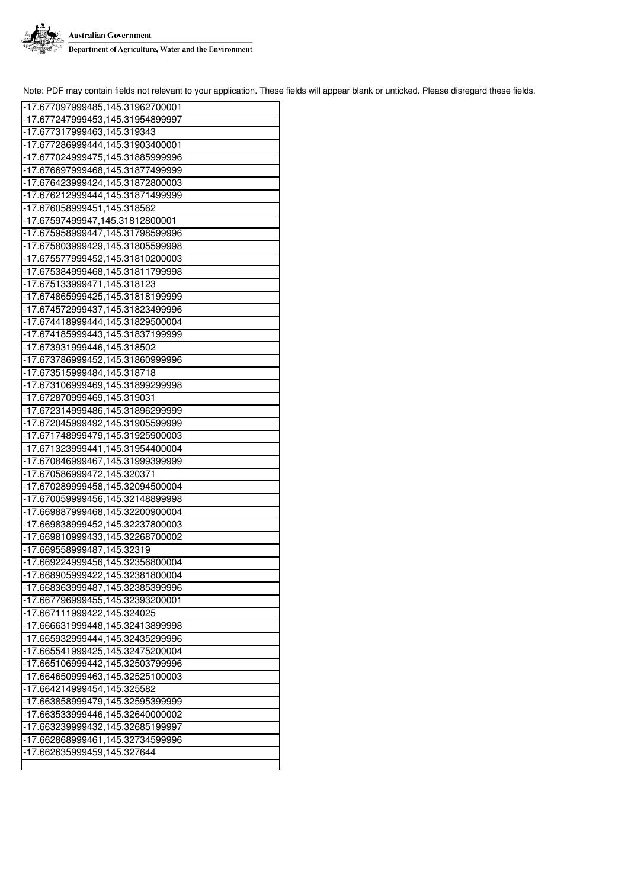

 $\overline{\phantom{a}}$ 

| -17.677097999485,145.31962700001 |
|----------------------------------|
| -17.677247999453,145.31954899997 |
| -17.677317999463,145.319343      |
| -17.677286999444,145.31903400001 |
| -17.677024999475,145.31885999996 |
| -17.676697999468,145.31877499999 |
| -17.676423999424,145.31872800003 |
| -17.676212999444,145.31871499999 |
| -17.676058999451,145.318562      |
| -17.67597499947,145.31812800001  |
| -17.675958999447,145.31798599996 |
| -17.675803999429,145.31805599998 |
| -17.675577999452,145.31810200003 |
| -17.675384999468,145.31811799998 |
| -17.675133999471,145.318123      |
| -17.674865999425,145.31818199999 |
| -17.674572999437,145.31823499996 |
| -17.674418999444,145.31829500004 |
| -17.674185999443,145.31837199999 |
| -17.673931999446,145.318502      |
| -17.673786999452,145.31860999996 |
| -17.673515999484,145.318718      |
| -17.673106999469,145.31899299998 |
| -17.672870999469,145.319031      |
| -17.672314999486,145.31896299999 |
| -17.672045999492,145.31905599999 |
| -17.671748999479,145.31925900003 |
| -17.671323999441,145.31954400004 |
| -17.670846999467,145.31999399999 |
| -17.670586999472,145.320371      |
| -17.670289999458,145.32094500004 |
| -17.670059999456,145.32148899998 |
| -17.669887999468,145.32200900004 |
| -17.669838999452,145.32237800003 |
| -17.669810999433,145.32268700002 |
| -17.669558999487,145.32319       |
| -17.669224999456,145.32356800004 |
| -17.668905999422,145.32381800004 |
| -17.668363999487,145.32385399996 |
| -17.667796999455,145.32393200001 |
| -17.667111999422,145.324025      |
| -17.666631999448,145.32413899998 |
| -17.665932999444,145.32435299996 |
| -17.665541999425,145.32475200004 |
| -17.665106999442,145.32503799996 |
| -17.664650999463,145.32525100003 |
| -17.664214999454,145.325582      |
| -17.663858999479,145.32595399999 |
| -17.663533999446,145.32640000002 |
| -17.663239999432,145.32685199997 |
| -17.662868999461,145.32734599996 |
| -17.662635999459,145.327644      |
|                                  |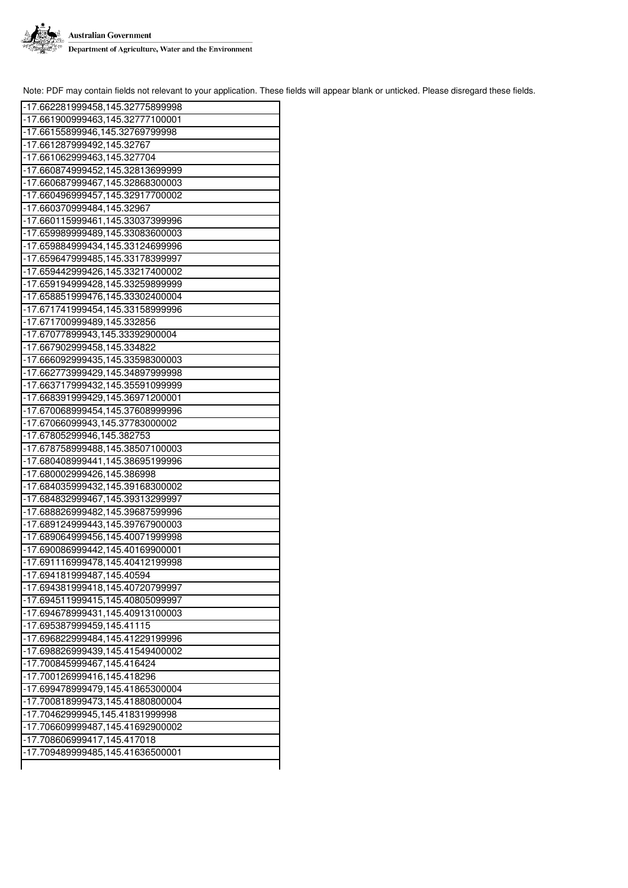

| -17.662281999458,145.32775899998 |
|----------------------------------|
|                                  |
| -17.661900999463,145.32777100001 |
| -17.66155899946,145.32769799998  |
| -17.661287999492,145.32767       |
| -17.661062999463,145.327704      |
| -17.660874999452,145.32813699999 |
| -17.660687999467,145.32868300003 |
| -17.660496999457,145.32917700002 |
| -17.660370999484,145.32967       |
| -17.660115999461,145.33037399996 |
| -17.659989999489,145.33083600003 |
| -17.659884999434,145.33124699996 |
| -17.659647999485,145.33178399997 |
| -17.659442999426,145.33217400002 |
| -17.659194999428,145.33259899999 |
| -17.658851999476,145.33302400004 |
| -17.671741999454,145.33158999996 |
|                                  |
| -17.671700999489,145.332856      |
| -17.67077899943,145.33392900004  |
| -17.667902999458,145.334822      |
| -17.666092999435,145.33598300003 |
| -17.662773999429,145.34897999998 |
| -17.663717999432,145.35591099999 |
| -17.668391999429,145.36971200001 |
| -17.670068999454,145.37608999996 |
| -17.67066099943,145.37783000002  |
| -17.67805299946,145.382753       |
| -17.678758999488,145.38507100003 |
| -17.680408999441,145.38695199996 |
| -17.680002999426,145.386998      |
| -17.684035999432,145.39168300002 |
| -17.684832999467,145.39313299997 |
| -17.688826999482,145.39687599996 |
| -17.689124999443,145.39767900003 |
| -17.689064999456,145.40071999998 |
| -17.690086999442,145.40169900001 |
| -17.691116999478,145.40412199998 |
| -17.694181999487,145.40594       |
| -17.694381999418,145.40720799997 |
| -17.694511999415,145.40805099997 |
|                                  |
| -17.694678999431,145.40913100003 |
| -17.695387999459,145.41115       |
| -17.696822999484,145.41229199996 |
| -17.698826999439,145.41549400002 |
| -17.700845999467,145.416424      |
| -17.700126999416,145.418296      |
| -17.699478999479,145.41865300004 |
| -17.700818999473,145.41880800004 |
| -17.70462999945,145.41831999998  |
| -17.706609999487,145.41692900002 |
| -17.708606999417,145.417018      |
| -17.709489999485,145.41636500001 |
|                                  |
|                                  |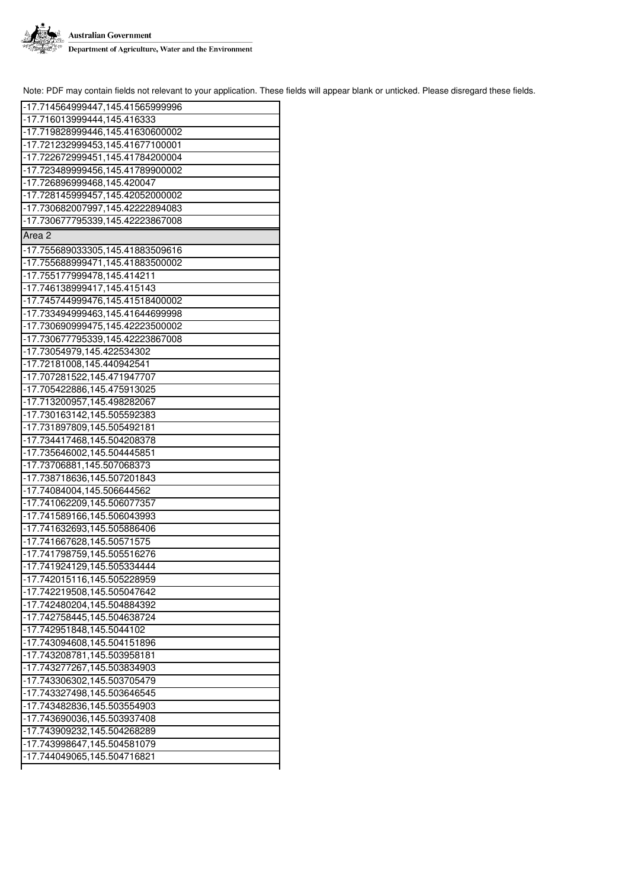

| -17.714564999447,145.41565999996 |
|----------------------------------|
| -17.716013999444,145.416333      |
| -17.719828999446,145.41630600002 |
| -17.721232999453,145.41677100001 |
| -17.722672999451,145.41784200004 |
| -17.723489999456,145.41789900002 |
|                                  |
| -17.726896999468,145.420047      |
| -17.728145999457,145.42052000002 |
| -17.730682007997,145.42222894083 |
| -17.730677795339,145.42223867008 |
| Area 2                           |
| -17.755689033305,145.41883509616 |
| -17.755688999471,145.41883500002 |
| -17.755177999478,145.414211      |
| -17.746138999417,145.415143      |
| -17.745744999476,145.41518400002 |
| -17.733494999463,145.41644699998 |
| -17.730690999475,145.42223500002 |
| -17.730677795339,145.42223867008 |
| -17.73054979,145.422534302       |
| -17.72181008,145.440942541       |
| -17.707281522,145.471947707      |
| -17.705422886,145.475913025      |
| -17.713200957,145.498282067      |
| -17.730163142,145.505592383      |
| -17.731897809,145.505492181      |
| -17.734417468, 145.504208378     |
| -17.735646002,145.504445851      |
| -17.73706881,145.507068373       |
| -17.738718636,145.507201843      |
| -17.74084004,145.506644562       |
|                                  |
| -17.741062209,145.506077357      |
| -17.741589166,145.506043993      |
| -17.741632693,145.505886406      |
| -17.741667628,145.50571575       |
| -17.741798759,145.505516276      |
| -17.741924129,145.505334444      |
| -17.742015116,145.505228959      |
| -17.742219508,145.505047642      |
| -17.742480204,145.504884392      |
| -17.742758445,145.504638724      |
| -17.742951848,145.5044102        |
| -17.743094608,145.504151896      |
| -17.743208781,145.503958181      |
| -17.743277267,145.503834903      |
| -17.743306302,145.503705479      |
| -17.743327498,145.503646545      |
| -17.743482836,145.503554903      |
| -17.743690036,145.503937408      |
| -17.743909232,145.504268289      |
| -17.743998647,145.504581079      |
| -17.744049065,145.504716821      |
|                                  |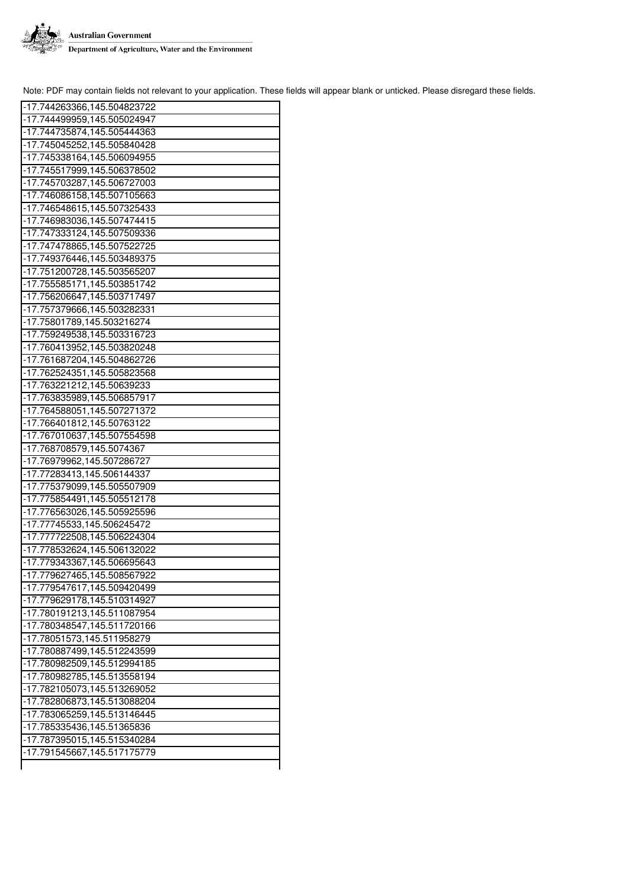

| -17.744263366,145.504823722 |
|-----------------------------|
| -17.744499959,145.505024947 |
| -17.744735874,145.505444363 |
| -17.745045252,145.505840428 |
| -17.745338164,145.506094955 |
| -17.745517999,145.506378502 |
| -17.745703287,145.506727003 |
| -17.746086158,145.507105663 |
| -17.746548615,145.507325433 |
| -17.746983036,145.507474415 |
| -17.747333124,145.507509336 |
|                             |
| -17.747478865,145.507522725 |
| -17.749376446,145.503489375 |
| -17.751200728,145.503565207 |
| -17.755585171,145.503851742 |
| -17.756206647,145.503717497 |
| -17.757379666,145.503282331 |
| -17.75801789,145.503216274  |
| -17.759249538,145.503316723 |
| -17.760413952,145.503820248 |
| -17.761687204,145.504862726 |
| -17.762524351,145.505823568 |
| -17.763221212,145.50639233  |
| -17.763835989,145.506857917 |
| -17.764588051,145.507271372 |
| -17.766401812,145.50763122  |
| -17.767010637,145.507554598 |
| -17.768708579,145.5074367   |
| -17.76979962,145.507286727  |
| -17.77283413,145.506144337  |
| -17.775379099,145.505507909 |
| -17.775854491,145.505512178 |
| -17.776563026,145.505925596 |
| -17.77745533,145.506245472  |
| -17.777722508,145.506224304 |
| -17.778532624,145.506132022 |
| -17.779343367,145.506695643 |
| -17.779627465,145.508567922 |
| -17.779547617,145.509420499 |
| -17.779629178,145.510314927 |
| -17.780191213,145.511087954 |
| -17.780348547,145.511720166 |
|                             |
| -17.78051573,145.511958279  |
| -17.780887499,145.512243599 |
| -17.780982509,145.512994185 |
| -17.780982785,145.513558194 |
| -17.782105073,145.513269052 |
| -17.782806873,145.513088204 |
| -17.783065259,145.513146445 |
| -17.785335436,145.51365836  |
| -17.787395015,145.515340284 |
| -17.791545667,145.517175779 |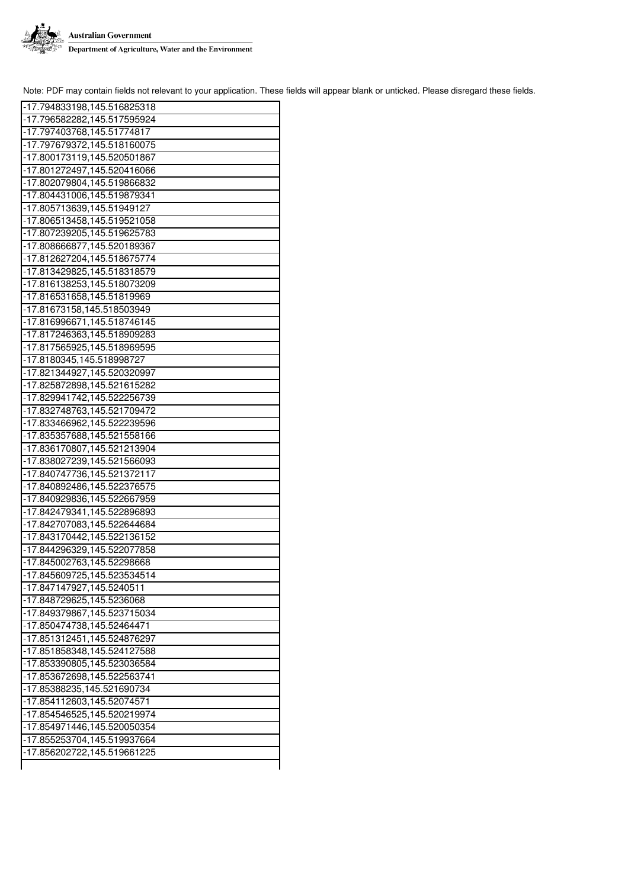

| -17.794833198,145.516825318 |
|-----------------------------|
| -17.796582282,145.517595924 |
| -17.797403768,145.51774817  |
| -17.797679372,145.518160075 |
| -17.800173119,145.520501867 |
| -17.801272497,145.520416066 |
| -17.802079804,145.519866832 |
| -17.804431006,145.519879341 |
| -17.805713639,145.51949127  |
| -17.806513458,145.519521058 |
|                             |
| -17.807239205,145.519625783 |
| -17.808666877,145.520189367 |
| -17.812627204,145.518675774 |
| -17.813429825,145.518318579 |
| -17.816138253,145.518073209 |
| -17.816531658,145.51819969  |
| -17.81673158,145.518503949  |
| -17.816996671,145.518746145 |
| -17.817246363,145.518909283 |
| -17.817565925,145.518969595 |
| -17.8180345,145.518998727   |
| -17.821344927,145.520320997 |
| -17.825872898,145.521615282 |
| -17.829941742,145.522256739 |
| -17.832748763,145.521709472 |
| -17.833466962,145.522239596 |
| -17.835357688,145.521558166 |
| -17.836170807,145.521213904 |
| -17.838027239,145.521566093 |
| -17.840747736,145.521372117 |
| -17.840892486,145.522376575 |
| -17.840929836,145.522667959 |
| -17.842479341,145.522896893 |
| -17.842707083,145.522644684 |
| -17.843170442,145.522136152 |
| -17.844296329,145.522077858 |
| -17.845002763,145.52298668  |
| -17.845609725,145.523534514 |
| -17.847147927,145.5240511   |
| -17.848729625,145.5236068   |
| -17.849379867,145.523715034 |
| -17.850474738,145.52464471  |
| -17.851312451,145.524876297 |
| -17.851858348,145.524127588 |
| -17.853390805,145.523036584 |
| -17.853672698,145.522563741 |
| -17.85388235,145.521690734  |
| -17.854112603,145.52074571  |
| -17.854546525,145.520219974 |
| -17.854971446,145.520050354 |
| -17.855253704,145.519937664 |
| -17.856202722,145.519661225 |
|                             |
|                             |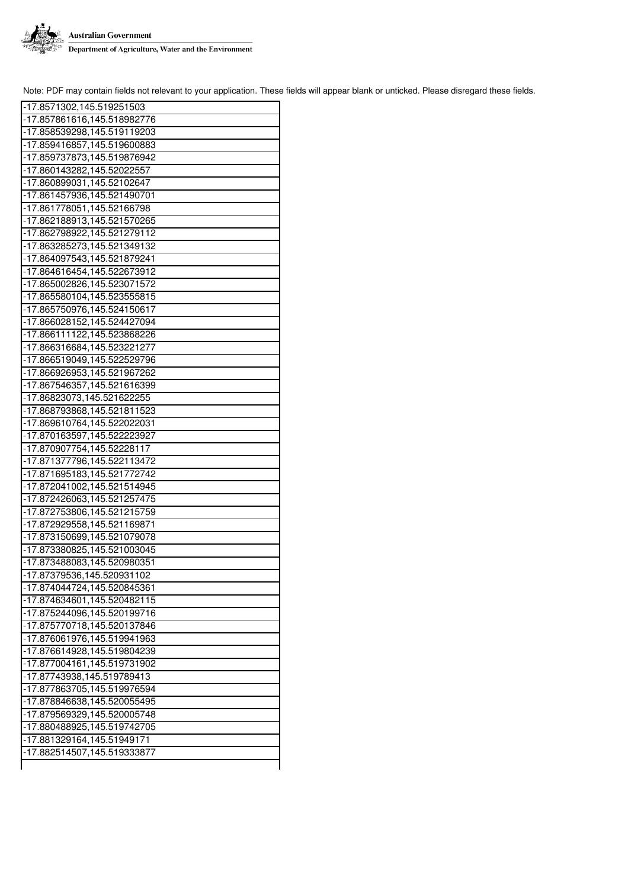

| -17.8571302,145.519251503                                 |
|-----------------------------------------------------------|
| -17.857861616,145.518982776                               |
| -17.858539298,145.519119203                               |
| -17.859416857,145.519600883                               |
| -17.859737873,145.519876942                               |
| -17.860143282,145.52022557                                |
| -17.860899031,145.52102647                                |
| -17.861457936,145.521490701                               |
| -17.861778051,145.52166798                                |
| -17.862188913,145.521570265                               |
| -17.862798922,145.521279112                               |
| -17.863285273,145.521349132                               |
| -17.864097543,145.521879241                               |
| -17.864616454,145.522673912                               |
| -17.865002826,145.523071572                               |
| -17.865580104,145.523555815                               |
| -17.865750976,145.524150617                               |
| -17.866028152,145.524427094                               |
| -17.866111122,145.523868226                               |
| -17.866316684,145.523221277                               |
| -17.866519049,145.522529796                               |
| -17.866926953,145.521967262                               |
| -17.867546357,145.521616399                               |
| -17.86823073,145.521622255                                |
| -17.868793868,145.521811523                               |
| -17.869610764,145.522022031                               |
|                                                           |
| -17.870163597,145.522223927                               |
| -17.870907754,145.52228117                                |
| -17.871377796,145.522113472                               |
| -17.871695183,145.521772742                               |
| -17.872041002,145.521514945                               |
| -17.872426063,145.521257475                               |
| -17.872753806,145.521215759                               |
| -17.872929558,145.521169871                               |
| -17.873150699,145.521079078                               |
| -17.873380825,145.521003045                               |
| -17.873488083,145.520980351                               |
| -17.87379536,145.520931102                                |
| -17.874044724,145.520845361                               |
| -17.874634601,145.520482115                               |
| -17.875244096,145.520199716                               |
| -17.875770718,145.520137846                               |
| -17.876061976,145.519941963                               |
| -17.876614928,145.519804239                               |
| -17.877004161,145.519731902                               |
| -17.87743938,145.519789413                                |
| -17.877863705,145.519976594                               |
| -17.878846638,145.520055495                               |
| -17.879569329,145.520005748                               |
| -17.880488925,145.519742705                               |
| -17.881329164,145.51949171<br>-17.882514507,145.519333877 |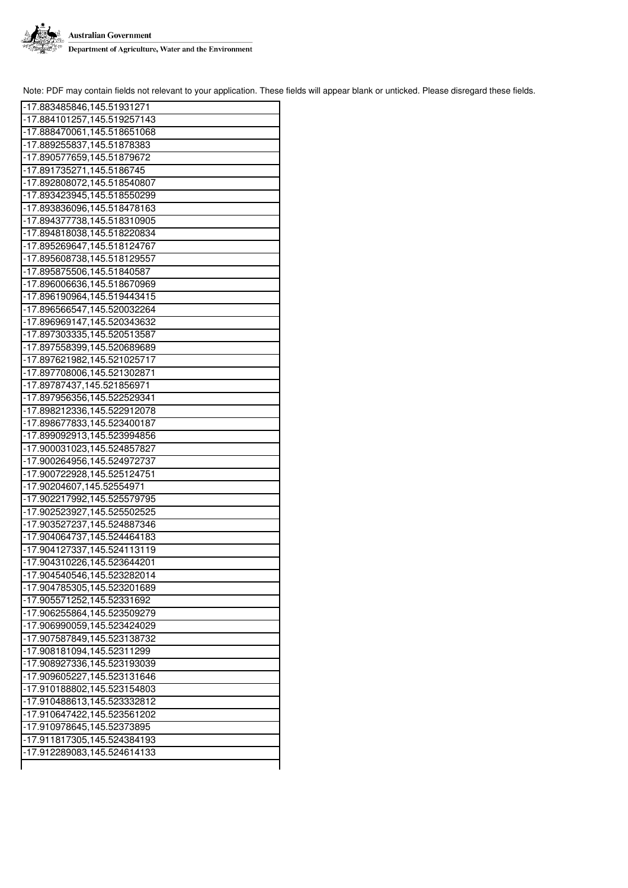

| -17.883485846,145.51931271  |
|-----------------------------|
| -17.884101257,145.519257143 |
| -17.888470061,145.518651068 |
| -17.889255837,145.51878383  |
| -17.890577659,145.51879672  |
| -17.891735271,145.5186745   |
| -17.892808072,145.518540807 |
| -17.893423945,145.518550299 |
| -17.893836096,145.518478163 |
| -17.894377738,145.518310905 |
| -17.894818038,145.518220834 |
| -17.895269647,145.518124767 |
| -17.895608738,145.518129557 |
| -17.895875506,145.51840587  |
| -17.896006636,145.518670969 |
| -17.896190964,145.519443415 |
| -17.896566547,145.520032264 |
| -17.896969147,145.520343632 |
| -17.897303335,145.520513587 |
| -17.897558399,145.520689689 |
| -17.897621982,145.521025717 |
| -17.897708006,145.521302871 |
| -17.89787437,145.521856971  |
| -17.897956356,145.522529341 |
| -17.898212336,145.522912078 |
| -17.898677833,145.523400187 |
| -17.899092913,145.523994856 |
| -17.900031023,145.524857827 |
| -17.900264956,145.524972737 |
| -17.900722928,145.525124751 |
| -17.90204607,145.52554971   |
| -17.902217992,145.525579795 |
| -17.902523927,145.525502525 |
| -17.903527237,145.524887346 |
| -17.904064737,145.524464183 |
| -17.904127337,145.524113119 |
| -17.904310226,145.523644201 |
| -17.904540546,145.523282014 |
| -17.904785305,145.523201689 |
| -17.905571252,145.52331692  |
| -17.906255864,145.523509279 |
| -17.906990059,145.523424029 |
| -17.907587849,145.523138732 |
| -17.908181094,145.52311299  |
| -17.908927336,145.523193039 |
| -17.909605227,145.523131646 |
| -17.910188802,145.523154803 |
| -17.910488613,145.523332812 |
| -17.910647422,145.523561202 |
| -17.910978645,145.52373895  |
| -17.911817305,145.524384193 |
| -17.912289083,145.524614133 |
|                             |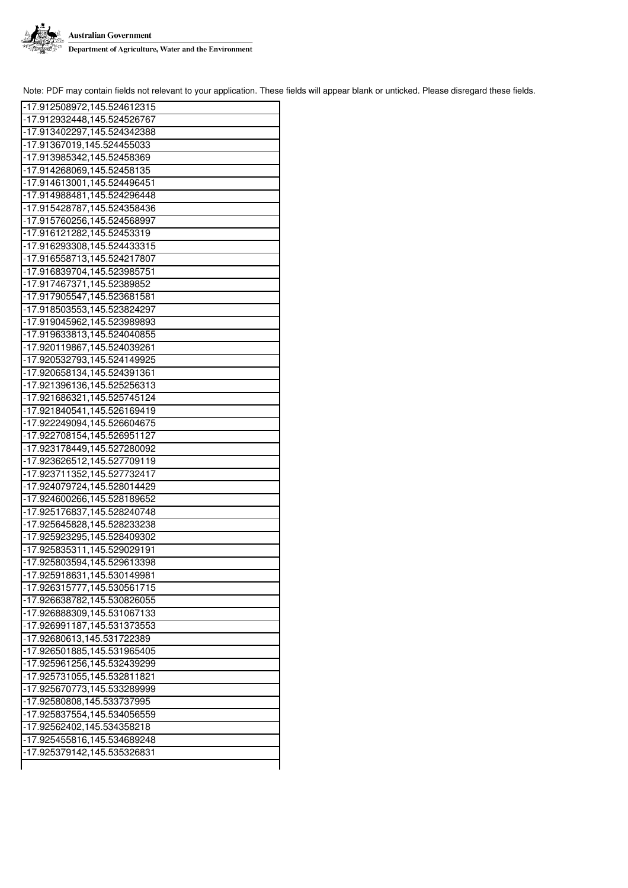

| -17.912508972,145.524612315 |
|-----------------------------|
| -17.912932448,145.524526767 |
| -17.913402297,145.524342388 |
| -17.91367019,145.524455033  |
| -17.913985342,145.52458369  |
|                             |
| -17.914268069,145.52458135  |
| -17.914613001,145.524496451 |
| -17.914988481,145.524296448 |
| -17.915428787,145.524358436 |
| -17.915760256,145.524568997 |
| -17.916121282,145.52453319  |
| -17.916293308,145.524433315 |
| -17.916558713,145.524217807 |
| -17.916839704,145.523985751 |
| -17.917467371,145.52389852  |
| -17.917905547,145.523681581 |
| -17.918503553,145.523824297 |
| -17.919045962,145.523989893 |
| -17.919633813,145.524040855 |
| -17.920119867,145.524039261 |
| -17.920532793,145.524149925 |
| -17.920658134,145.524391361 |
| -17.921396136,145.525256313 |
| -17.921686321,145.525745124 |
| -17.921840541,145.526169419 |
| -17.922249094,145.526604675 |
|                             |
| -17.922708154,145.526951127 |
| -17.923178449,145.527280092 |
| -17.923626512,145.527709119 |
| -17.923711352,145.527732417 |
| -17.924079724,145.528014429 |
| -17.924600266,145.528189652 |
| -17.925176837,145.528240748 |
| -17.925645828,145.528233238 |
| -17.925923295,145.528409302 |
| -17.925835311,145.529029191 |
| -17.925803594,145.529613398 |
| -17.925918631,145.530149981 |
| -17.926315777,145.530561715 |
| -17.926638782,145.530826055 |
| -17.926888309,145.531067133 |
| -17.926991187,145.531373553 |
| -17.92680613,145.531722389  |
| -17.926501885,145.531965405 |
| -17.925961256,145.532439299 |
| -17.925731055,145.532811821 |
| -17.925670773,145.533289999 |
| -17.92580808,145.533737995  |
| -17.925837554,145.534056559 |
| -17.92562402,145.534358218  |
| -17.925455816,145.534689248 |
| -17.925379142,145.535326831 |
|                             |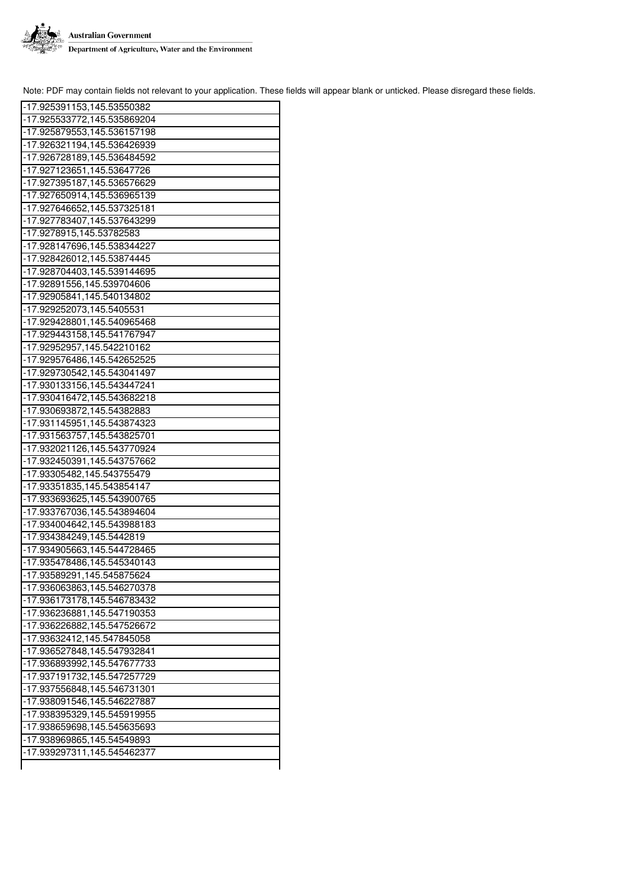

| -17.925391153,145.53550382  |
|-----------------------------|
| -17.925533772,145.535869204 |
| -17.925879553,145.536157198 |
| -17.926321194,145.536426939 |
| -17.926728189,145.536484592 |
| -17.927123651,145.53647726  |
| -17.927395187,145.536576629 |
| -17.927650914,145.536965139 |
| -17.927646652,145.537325181 |
| -17.927783407,145.537643299 |
| -17.9278915,145.53782583    |
| -17.928147696,145.538344227 |
| -17.928426012,145.53874445  |
| -17.928704403,145.539144695 |
| -17.92891556,145.539704606  |
| -17.92905841,145.540134802  |
| -17.929252073,145.5405531   |
| -17.929428801,145.540965468 |
| -17.929443158,145.541767947 |
| -17.92952957,145.542210162  |
| -17.929576486,145.542652525 |
| -17.929730542,145.543041497 |
| -17.930133156,145.543447241 |
| -17.930416472,145.543682218 |
| -17.930693872,145.54382883  |
| -17.931145951,145.543874323 |
| -17.931563757,145.543825701 |
| -17.932021126,145.543770924 |
| -17.932450391,145.543757662 |
| -17.93305482,145.543755479  |
| -17.93351835,145.543854147  |
| -17.933693625,145.543900765 |
| -17.933767036,145.543894604 |
| -17.934004642,145.543988183 |
| -17.934384249,145.5442819   |
| -17.934905663,145.544728465 |
| -17.935478486,145.545340143 |
| -17.93589291,145.545875624  |
|                             |
| -17.936063863,145.546270378 |
| -17.936173178,145.546783432 |
| -17.936236881,145.547190353 |
| -17.936226882,145.547526672 |
| -17.93632412,145.547845058  |
| -17.936527848,145.547932841 |
| -17.936893992,145.547677733 |
| -17.937191732,145.547257729 |
| -17.937556848,145.546731301 |
| -17.938091546,145.546227887 |
| -17.938395329,145.545919955 |
| -17.938659698,145.545635693 |
| -17.938969865,145.54549893  |
| -17.939297311,145.545462377 |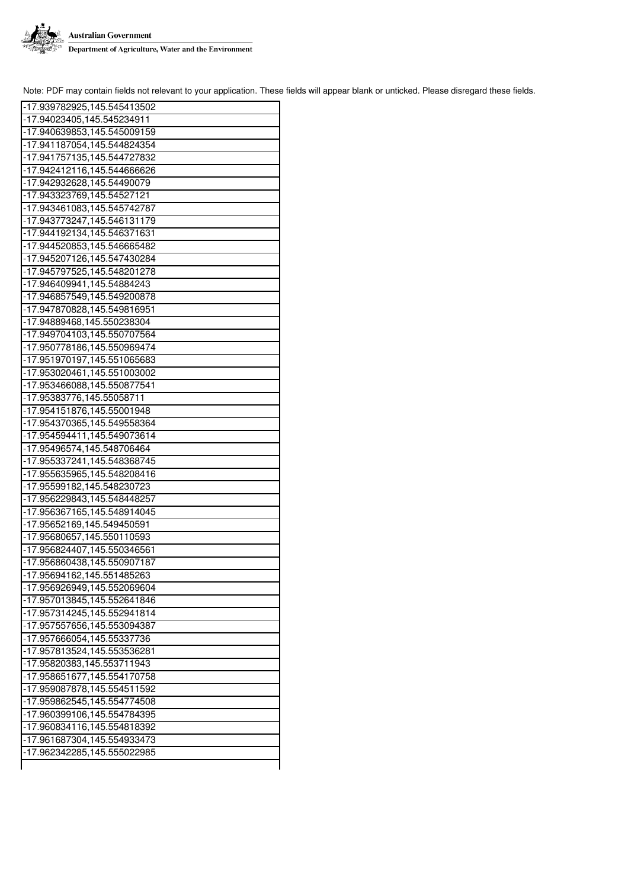

| -17.939782925,145.545413502                                |
|------------------------------------------------------------|
| -17.94023405,145.545234911                                 |
| -17.940639853,145.545009159                                |
| -17.941187054,145.544824354                                |
| -17.941757135,145.544727832                                |
| -17.942412116,145.544666626                                |
| -17.942932628,145.54490079                                 |
| -17.943323769,145.54527121                                 |
| -17.943461083,145.545742787                                |
| -17.943773247,145.546131179                                |
| -17.944192134,145.546371631                                |
| -17.944520853,145.546665482                                |
| -17.945207126, 145.547430284                               |
| -17.945797525,145.548201278                                |
| -17.946409941,145.54884243                                 |
| -17.946857549,145.549200878                                |
| -17.947870828, 145.549816951                               |
| -17.94889468,145.550238304                                 |
| -17.949704103,145.550707564                                |
| -17.950778186,145.550969474                                |
| -17.951970197,145.551065683                                |
| -17.953020461,145.551003002                                |
| -17.953466088,145.550877541                                |
| -17.95383776,145.55058711                                  |
| -17.954151876,145.55001948                                 |
| -17.954370365, 145.549558364                               |
|                                                            |
|                                                            |
| -17.954594411, 145.549073614                               |
| -17.95496574, 145.548706464                                |
| -17.955337241, 145.548368745                               |
| -17.955635965, 145.548208416                               |
| -17.95599182,145.548230723                                 |
| -17.956229843, 145.548448257                               |
| -17.956367165, 145.548914045                               |
| -17.95652169, 145.549450591                                |
| -17.95680657,145.550110593                                 |
| -17.956824407,145.550346561<br>-17.956860438,145.550907187 |
|                                                            |
| -17.95694162,145.551485263<br>-17.956926949,145.552069604  |
|                                                            |
| -17.957013845,145.552641846                                |
| -17.957314245,145.552941814                                |
| -17.957557656,145.553094387                                |
| -17.957666054,145.55337736<br>-17.957813524,145.553536281  |
| -17.95820383,145.553711943                                 |
| -17.958651677,145.554170758                                |
| -17.959087878,145.554511592                                |
| -17.959862545,145.554774508                                |
| -17.960399106,145.554784395                                |
| -17.960834116,145.554818392                                |
| -17.961687304,145.554933473                                |